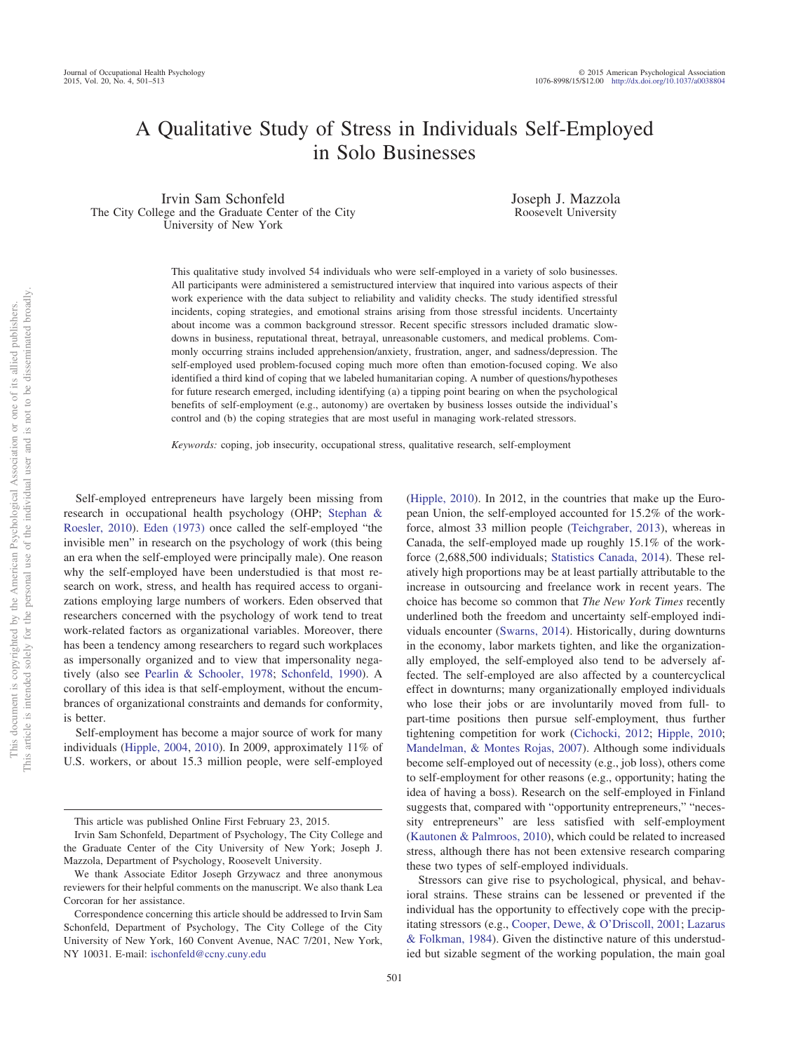# A Qualitative Study of Stress in Individuals Self-Employed in Solo Businesses

Irvin Sam Schonfeld The City College and the Graduate Center of the City University of New York

Joseph J. Mazzola Roosevelt University

This qualitative study involved 54 individuals who were self-employed in a variety of solo businesses. All participants were administered a semistructured interview that inquired into various aspects of their work experience with the data subject to reliability and validity checks. The study identified stressful incidents, coping strategies, and emotional strains arising from those stressful incidents. Uncertainty about income was a common background stressor. Recent specific stressors included dramatic slowdowns in business, reputational threat, betrayal, unreasonable customers, and medical problems. Commonly occurring strains included apprehension/anxiety, frustration, anger, and sadness/depression. The self-employed used problem-focused coping much more often than emotion-focused coping. We also identified a third kind of coping that we labeled humanitarian coping. A number of questions/hypotheses for future research emerged, including identifying (a) a tipping point bearing on when the psychological benefits of self-employment (e.g., autonomy) are overtaken by business losses outside the individual's control and (b) the coping strategies that are most useful in managing work-related stressors.

*Keywords:* coping, job insecurity, occupational stress, qualitative research, self-employment

Self-employed entrepreneurs have largely been missing from research in occupational health psychology (OHP; [Stephan &](#page-12-0) [Roesler, 2010\)](#page-12-0). [Eden \(1973\)](#page-11-0) once called the self-employed "the invisible men" in research on the psychology of work (this being an era when the self-employed were principally male). One reason why the self-employed have been understudied is that most research on work, stress, and health has required access to organizations employing large numbers of workers. Eden observed that researchers concerned with the psychology of work tend to treat work-related factors as organizational variables. Moreover, there has been a tendency among researchers to regard such workplaces as impersonally organized and to view that impersonality negatively (also see [Pearlin & Schooler, 1978;](#page-11-1) [Schonfeld, 1990\)](#page-11-2). A corollary of this idea is that self-employment, without the encumbrances of organizational constraints and demands for conformity, is better.

Self-employment has become a major source of work for many individuals [\(Hipple, 2004,](#page-11-3) [2010\)](#page-11-4). In 2009, approximately 11% of U.S. workers, or about 15.3 million people, were self-employed

This article is intended solely for the personal use of the individual user and is not to be disseminated broadly.

pean Union, the self-employed accounted for 15.2% of the workforce, almost 33 million people [\(Teichgraber, 2013\)](#page-12-1), whereas in Canada, the self-employed made up roughly 15.1% of the workforce (2,688,500 individuals; [Statistics Canada, 2014\)](#page-12-2). These relatively high proportions may be at least partially attributable to the increase in outsourcing and freelance work in recent years. The choice has become so common that *The New York Times* recently underlined both the freedom and uncertainty self-employed individuals encounter [\(Swarns, 2014\)](#page-12-3). Historically, during downturns in the economy, labor markets tighten, and like the organizationally employed, the self-employed also tend to be adversely affected. The self-employed are also affected by a countercyclical effect in downturns; many organizationally employed individuals who lose their jobs or are involuntarily moved from full- to part-time positions then pursue self-employment, thus further tightening competition for work [\(Cichocki, 2012;](#page-10-0) [Hipple, 2010;](#page-11-4) [Mandelman, & Montes Rojas, 2007\)](#page-11-5). Although some individuals become self-employed out of necessity (e.g., job loss), others come to self-employment for other reasons (e.g., opportunity; hating the idea of having a boss). Research on the self-employed in Finland suggests that, compared with "opportunity entrepreneurs," "necessity entrepreneurs" are less satisfied with self-employment [\(Kautonen & Palmroos, 2010\)](#page-11-6), which could be related to increased stress, although there has not been extensive research comparing these two types of self-employed individuals.

[\(Hipple, 2010\)](#page-11-4). In 2012, in the countries that make up the Euro-

Stressors can give rise to psychological, physical, and behavioral strains. These strains can be lessened or prevented if the individual has the opportunity to effectively cope with the precipitating stressors (e.g., [Cooper, Dewe, & O'Driscoll, 2001;](#page-10-1) [Lazarus](#page-11-7) [& Folkman, 1984\)](#page-11-7). Given the distinctive nature of this understudied but sizable segment of the working population, the main goal

This article was published Online First February 23, 2015.

Irvin Sam Schonfeld, Department of Psychology, The City College and the Graduate Center of the City University of New York; Joseph J. Mazzola, Department of Psychology, Roosevelt University.

We thank Associate Editor Joseph Grzywacz and three anonymous reviewers for their helpful comments on the manuscript. We also thank Lea Corcoran for her assistance.

Correspondence concerning this article should be addressed to Irvin Sam Schonfeld, Department of Psychology, The City College of the City University of New York, 160 Convent Avenue, NAC 7/201, New York, NY 10031. E-mail: [ischonfeld@ccny.cuny.edu](mailto:ischonfeld@ccny.cuny.edu)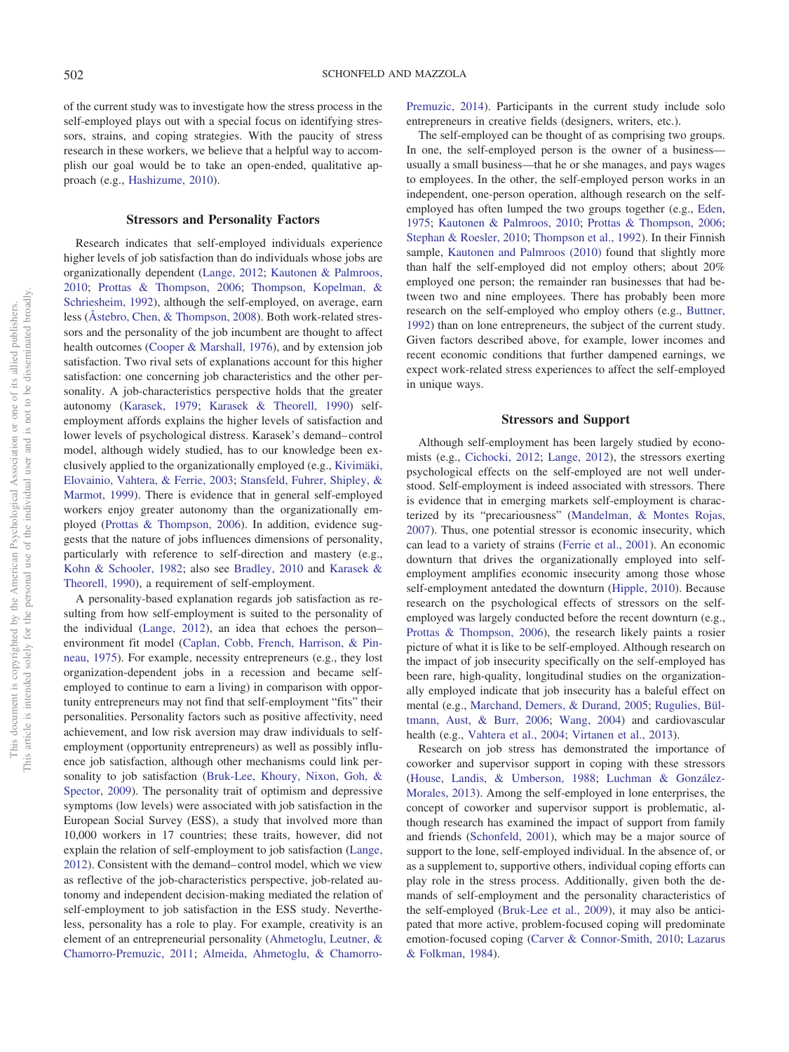of the current study was to investigate how the stress process in the self-employed plays out with a special focus on identifying stressors, strains, and coping strategies. With the paucity of stress research in these workers, we believe that a helpful way to accomplish our goal would be to take an open-ended, qualitative approach (e.g., [Hashizume, 2010\)](#page-11-8).

#### **Stressors and Personality Factors**

Research indicates that self-employed individuals experience higher levels of job satisfaction than do individuals whose jobs are organizationally dependent [\(Lange, 2012;](#page-11-9) [Kautonen & Palmroos,](#page-11-6) [2010;](#page-11-6) [Prottas & Thompson, 2006;](#page-11-10) [Thompson, Kopelman, &](#page-12-4) [Schriesheim, 1992\)](#page-12-4), although the self-employed, on average, earn less [\(Åstebro, Chen, & Thompson, 2008\)](#page-10-2). Both work-related stressors and the personality of the job incumbent are thought to affect health outcomes [\(Cooper & Marshall, 1976\)](#page-10-3), and by extension job satisfaction. Two rival sets of explanations account for this higher satisfaction: one concerning job characteristics and the other personality. A job-characteristics perspective holds that the greater autonomy [\(Karasek, 1979;](#page-11-11) [Karasek & Theorell, 1990\)](#page-11-12) selfemployment affords explains the higher levels of satisfaction and lower levels of psychological distress. Karasek's demand– control model, although widely studied, has to our knowledge been exclusively applied to the organizationally employed (e.g., [Kivimäki,](#page-11-13) [Elovainio, Vahtera, & Ferrie, 2003;](#page-11-13) [Stansfeld, Fuhrer, Shipley, &](#page-12-5) [Marmot, 1999\)](#page-12-5). There is evidence that in general self-employed workers enjoy greater autonomy than the organizationally employed [\(Prottas & Thompson, 2006\)](#page-11-10). In addition, evidence suggests that the nature of jobs influences dimensions of personality, particularly with reference to self-direction and mastery (e.g., [Kohn & Schooler, 1982;](#page-11-14) also see [Bradley, 2010](#page-10-4) and [Karasek &](#page-11-12) [Theorell, 1990\)](#page-11-12), a requirement of self-employment.

A personality-based explanation regards job satisfaction as resulting from how self-employment is suited to the personality of the individual [\(Lange, 2012\)](#page-11-9), an idea that echoes the person– environment fit model [\(Caplan, Cobb, French, Harrison, & Pin](#page-10-5)[neau, 1975\)](#page-10-5). For example, necessity entrepreneurs (e.g., they lost organization-dependent jobs in a recession and became selfemployed to continue to earn a living) in comparison with opportunity entrepreneurs may not find that self-employment "fits" their personalities. Personality factors such as positive affectivity, need achievement, and low risk aversion may draw individuals to selfemployment (opportunity entrepreneurs) as well as possibly influence job satisfaction, although other mechanisms could link personality to job satisfaction [\(Bruk-Lee, Khoury, Nixon, Goh, &](#page-10-6) [Spector, 2009\)](#page-10-6). The personality trait of optimism and depressive symptoms (low levels) were associated with job satisfaction in the European Social Survey (ESS), a study that involved more than 10,000 workers in 17 countries; these traits, however, did not explain the relation of self-employment to job satisfaction [\(Lange,](#page-11-9) [2012\)](#page-11-9). Consistent with the demand– control model, which we view as reflective of the job-characteristics perspective, job-related autonomy and independent decision-making mediated the relation of self-employment to job satisfaction in the ESS study. Nevertheless, personality has a role to play. For example, creativity is an element of an entrepreneurial personality [\(Ahmetoglu, Leutner, &](#page-10-7) [Chamorro-Premuzic, 2011;](#page-10-7) [Almeida, Ahmetoglu, & Chamorro-](#page-10-8) [Premuzic, 2014\)](#page-10-8). Participants in the current study include solo entrepreneurs in creative fields (designers, writers, etc.).

The self-employed can be thought of as comprising two groups. In one, the self-employed person is the owner of a business usually a small business—that he or she manages, and pays wages to employees. In the other, the self-employed person works in an independent, one-person operation, although research on the selfemployed has often lumped the two groups together (e.g., [Eden,](#page-11-15) [1975;](#page-11-15) [Kautonen & Palmroos, 2010;](#page-11-6) [Prottas & Thompson, 2006;](#page-11-10) [Stephan & Roesler, 2010;](#page-12-0) [Thompson et al., 1992\)](#page-12-4). In their Finnish sample, [Kautonen and Palmroos \(2010\)](#page-11-6) found that slightly more than half the self-employed did not employ others; about 20% employed one person; the remainder ran businesses that had between two and nine employees. There has probably been more research on the self-employed who employ others (e.g., [Buttner,](#page-10-9) [1992\)](#page-10-9) than on lone entrepreneurs, the subject of the current study. Given factors described above, for example, lower incomes and recent economic conditions that further dampened earnings, we expect work-related stress experiences to affect the self-employed in unique ways.

#### **Stressors and Support**

Although self-employment has been largely studied by economists (e.g., [Cichocki, 2012;](#page-10-0) [Lange, 2012\)](#page-11-9), the stressors exerting psychological effects on the self-employed are not well understood. Self-employment is indeed associated with stressors. There is evidence that in emerging markets self-employment is characterized by its "precariousness" [\(Mandelman, & Montes Rojas,](#page-11-5) [2007\)](#page-11-5). Thus, one potential stressor is economic insecurity, which can lead to a variety of strains [\(Ferrie et al., 2001\)](#page-11-16). An economic downturn that drives the organizationally employed into selfemployment amplifies economic insecurity among those whose self-employment antedated the downturn [\(Hipple, 2010\)](#page-11-4). Because research on the psychological effects of stressors on the selfemployed was largely conducted before the recent downturn (e.g., [Prottas & Thompson, 2006\)](#page-11-10), the research likely paints a rosier picture of what it is like to be self-employed. Although research on the impact of job insecurity specifically on the self-employed has been rare, high-quality, longitudinal studies on the organizationally employed indicate that job insecurity has a baleful effect on mental (e.g., [Marchand, Demers, & Durand, 2005;](#page-11-17) [Rugulies, Bül](#page-11-18)[tmann, Aust, & Burr, 2006;](#page-11-18) [Wang, 2004\)](#page-12-6) and cardiovascular health (e.g., [Vahtera et al., 2004;](#page-12-7) [Virtanen et al., 2013\)](#page-12-8).

Research on job stress has demonstrated the importance of coworker and supervisor support in coping with these stressors [\(House, Landis, & Umberson, 1988;](#page-11-19) [Luchman & González-](#page-11-20)[Morales, 2013\)](#page-11-20). Among the self-employed in lone enterprises, the concept of coworker and supervisor support is problematic, although research has examined the impact of support from family and friends [\(Schonfeld, 2001\)](#page-11-21), which may be a major source of support to the lone, self-employed individual. In the absence of, or as a supplement to, supportive others, individual coping efforts can play role in the stress process. Additionally, given both the demands of self-employment and the personality characteristics of the self-employed [\(Bruk-Lee et al., 2009\)](#page-10-6), it may also be anticipated that more active, problem-focused coping will predominate emotion-focused coping [\(Carver & Connor-Smith, 2010;](#page-10-10) [Lazarus](#page-11-7) [& Folkman, 1984\)](#page-11-7).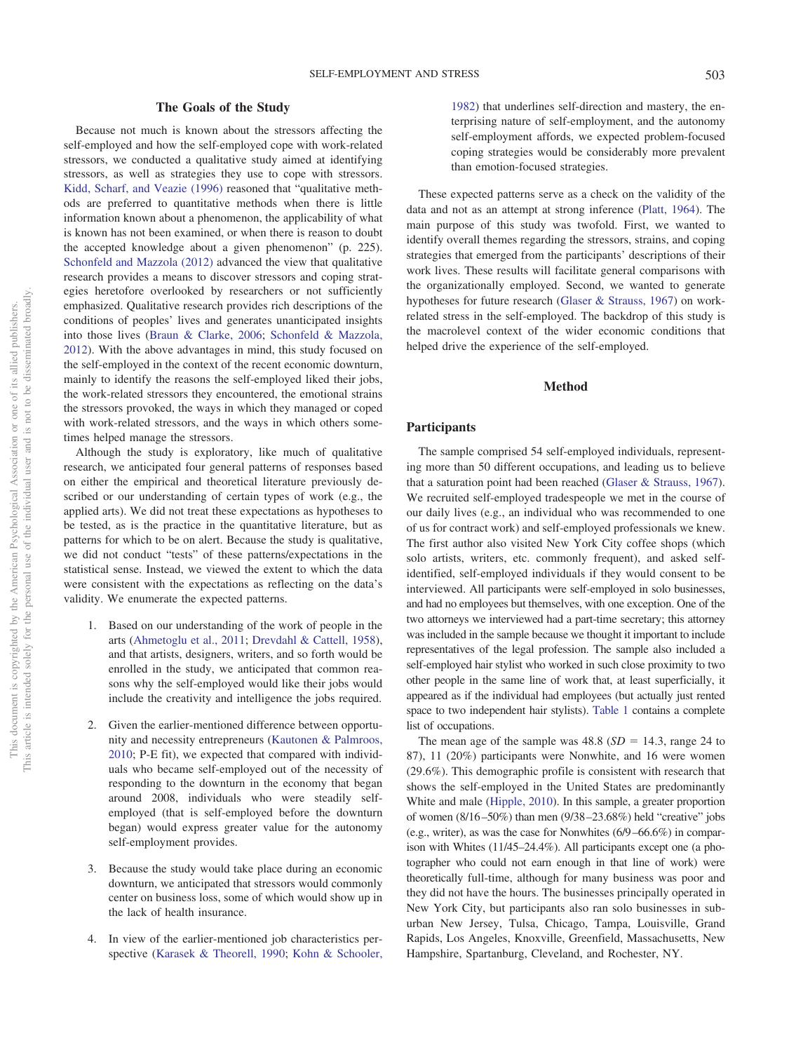## **The Goals of the Study**

Because not much is known about the stressors affecting the self-employed and how the self-employed cope with work-related stressors, we conducted a qualitative study aimed at identifying stressors, as well as strategies they use to cope with stressors. [Kidd, Scharf, and Veazie \(1996\)](#page-11-22) reasoned that "qualitative methods are preferred to quantitative methods when there is little information known about a phenomenon, the applicability of what is known has not been examined, or when there is reason to doubt the accepted knowledge about a given phenomenon" (p. 225). [Schonfeld and Mazzola \(2012\)](#page-12-9) advanced the view that qualitative research provides a means to discover stressors and coping strategies heretofore overlooked by researchers or not sufficiently emphasized. Qualitative research provides rich descriptions of the conditions of peoples' lives and generates unanticipated insights into those lives [\(Braun & Clarke, 2006;](#page-10-11) [Schonfeld & Mazzola,](#page-12-9) [2012\)](#page-12-9). With the above advantages in mind, this study focused on the self-employed in the context of the recent economic downturn, mainly to identify the reasons the self-employed liked their jobs, the work-related stressors they encountered, the emotional strains the stressors provoked, the ways in which they managed or coped with work-related stressors, and the ways in which others sometimes helped manage the stressors.

Although the study is exploratory, like much of qualitative research, we anticipated four general patterns of responses based on either the empirical and theoretical literature previously described or our understanding of certain types of work (e.g., the applied arts). We did not treat these expectations as hypotheses to be tested, as is the practice in the quantitative literature, but as patterns for which to be on alert. Because the study is qualitative, we did not conduct "tests" of these patterns/expectations in the statistical sense. Instead, we viewed the extent to which the data were consistent with the expectations as reflecting on the data's validity. We enumerate the expected patterns.

- 1. Based on our understanding of the work of people in the arts [\(Ahmetoglu et al., 2011;](#page-10-7) [Drevdahl & Cattell, 1958\)](#page-11-23), and that artists, designers, writers, and so forth would be enrolled in the study, we anticipated that common reasons why the self-employed would like their jobs would include the creativity and intelligence the jobs required.
- 2. Given the earlier-mentioned difference between opportunity and necessity entrepreneurs [\(Kautonen & Palmroos,](#page-11-6) [2010;](#page-11-6) P-E fit), we expected that compared with individuals who became self-employed out of the necessity of responding to the downturn in the economy that began around 2008, individuals who were steadily selfemployed (that is self-employed before the downturn began) would express greater value for the autonomy self-employment provides.
- 3. Because the study would take place during an economic downturn, we anticipated that stressors would commonly center on business loss, some of which would show up in the lack of health insurance.
- 4. In view of the earlier-mentioned job characteristics perspective [\(Karasek & Theorell, 1990;](#page-11-12) [Kohn & Schooler,](#page-11-14)

[1982\)](#page-11-14) that underlines self-direction and mastery, the enterprising nature of self-employment, and the autonomy self-employment affords, we expected problem-focused coping strategies would be considerably more prevalent than emotion-focused strategies.

These expected patterns serve as a check on the validity of the data and not as an attempt at strong inference [\(Platt, 1964\)](#page-11-24). The main purpose of this study was twofold. First, we wanted to identify overall themes regarding the stressors, strains, and coping strategies that emerged from the participants' descriptions of their work lives. These results will facilitate general comparisons with the organizationally employed. Second, we wanted to generate hypotheses for future research [\(Glaser & Strauss, 1967\)](#page-11-25) on workrelated stress in the self-employed. The backdrop of this study is the macrolevel context of the wider economic conditions that helped drive the experience of the self-employed.

## **Method**

#### **Participants**

The sample comprised 54 self-employed individuals, representing more than 50 different occupations, and leading us to believe that a saturation point had been reached [\(Glaser & Strauss, 1967\)](#page-11-25). We recruited self-employed tradespeople we met in the course of our daily lives (e.g., an individual who was recommended to one of us for contract work) and self-employed professionals we knew. The first author also visited New York City coffee shops (which solo artists, writers, etc. commonly frequent), and asked selfidentified, self-employed individuals if they would consent to be interviewed. All participants were self-employed in solo businesses, and had no employees but themselves, with one exception. One of the two attorneys we interviewed had a part-time secretary; this attorney was included in the sample because we thought it important to include representatives of the legal profession. The sample also included a self-employed hair stylist who worked in such close proximity to two other people in the same line of work that, at least superficially, it appeared as if the individual had employees (but actually just rented space to two independent hair stylists). [Table 1](#page-3-0) contains a complete list of occupations.

The mean age of the sample was  $48.8$  ( $SD = 14.3$ , range 24 to 87), 11 (20%) participants were Nonwhite, and 16 were women (29.6%). This demographic profile is consistent with research that shows the self-employed in the United States are predominantly White and male [\(Hipple, 2010\)](#page-11-4). In this sample, a greater proportion of women (8/16 –50%) than men (9/38 –23.68%) held "creative" jobs (e.g., writer), as was the case for Nonwhites (6/9 –66.6%) in comparison with Whites (11/45–24.4%). All participants except one (a photographer who could not earn enough in that line of work) were theoretically full-time, although for many business was poor and they did not have the hours. The businesses principally operated in New York City, but participants also ran solo businesses in suburban New Jersey, Tulsa, Chicago, Tampa, Louisville, Grand Rapids, Los Angeles, Knoxville, Greenfield, Massachusetts, New Hampshire, Spartanburg, Cleveland, and Rochester, NY.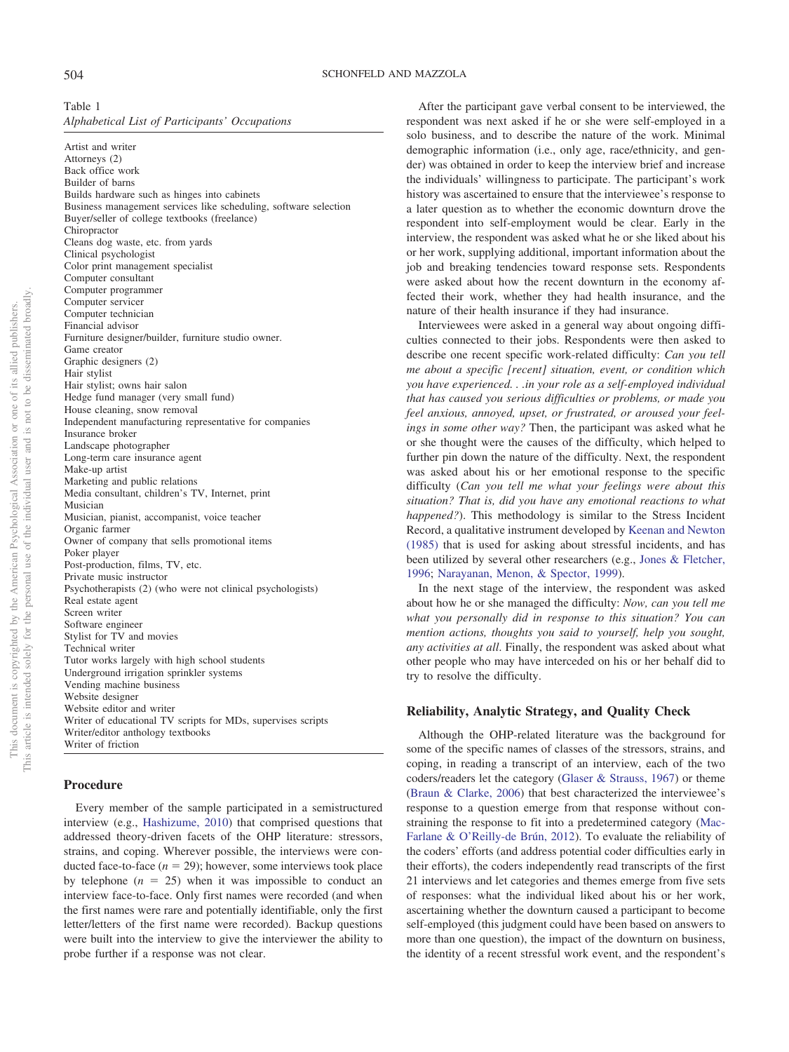<span id="page-3-0"></span>

| Table 1                                        |  |  |  |  |
|------------------------------------------------|--|--|--|--|
| Alphabetical List of Participants' Occupations |  |  |  |  |

Artist and writer Attorneys (2) Back office work Builder of barns Builds hardware such as hinges into cabinets Business management services like scheduling, software selection Buyer/seller of college textbooks (freelance) Chiropractor Cleans dog waste, etc. from yards Clinical psychologist Color print management specialist Computer consultant Computer programmer Computer servicer Computer technician Financial advisor Furniture designer/builder, furniture studio owner. Game creator Graphic designers (2) Hair stylist Hair stylist; owns hair salon Hedge fund manager (very small fund) House cleaning, snow removal Independent manufacturing representative for companies Insurance broker Landscape photographer Long-term care insurance agent Make-up artist Marketing and public relations Media consultant, children's TV, Internet, print Musician Musician, pianist, accompanist, voice teacher Organic farmer Owner of company that sells promotional items Poker player Post-production, films, TV, etc. Private music instructor Psychotherapists (2) (who were not clinical psychologists) Real estate agent Screen writer Software engineer Stylist for TV and movies Technical writer Tutor works largely with high school students Underground irrigation sprinkler systems Vending machine business Website designer Website editor and writer Writer of educational TV scripts for MDs, supervises scripts Writer/editor anthology textbooks Writer of friction

## **Procedure**

Every member of the sample participated in a semistructured interview (e.g., [Hashizume, 2010\)](#page-11-8) that comprised questions that addressed theory-driven facets of the OHP literature: stressors, strains, and coping. Wherever possible, the interviews were conducted face-to-face  $(n = 29)$ ; however, some interviews took place by telephone  $(n = 25)$  when it was impossible to conduct an interview face-to-face. Only first names were recorded (and when the first names were rare and potentially identifiable, only the first letter/letters of the first name were recorded). Backup questions were built into the interview to give the interviewer the ability to probe further if a response was not clear.

After the participant gave verbal consent to be interviewed, the respondent was next asked if he or she were self-employed in a solo business, and to describe the nature of the work. Minimal demographic information (i.e., only age, race/ethnicity, and gender) was obtained in order to keep the interview brief and increase the individuals' willingness to participate. The participant's work history was ascertained to ensure that the interviewee's response to a later question as to whether the economic downturn drove the respondent into self-employment would be clear. Early in the interview, the respondent was asked what he or she liked about his or her work, supplying additional, important information about the job and breaking tendencies toward response sets. Respondents were asked about how the recent downturn in the economy affected their work, whether they had health insurance, and the nature of their health insurance if they had insurance.

Interviewees were asked in a general way about ongoing difficulties connected to their jobs. Respondents were then asked to describe one recent specific work-related difficulty: *Can you tell me about a specific [recent] situation, event, or condition which you have experienced. . .in your role as a self-employed individual that has caused you serious difficulties or problems, or made you feel anxious, annoyed, upset, or frustrated, or aroused your feelings in some other way?* Then, the participant was asked what he or she thought were the causes of the difficulty, which helped to further pin down the nature of the difficulty. Next, the respondent was asked about his or her emotional response to the specific difficulty (*Can you tell me what your feelings were about this situation? That is, did you have any emotional reactions to what happened?*). This methodology is similar to the Stress Incident Record, a qualitative instrument developed by [Keenan and Newton](#page-11-26) [\(1985\)](#page-11-26) that is used for asking about stressful incidents, and has been utilized by several other researchers (e.g., [Jones & Fletcher,](#page-11-27) [1996;](#page-11-27) [Narayanan, Menon, & Spector, 1999\)](#page-11-28).

In the next stage of the interview, the respondent was asked about how he or she managed the difficulty: *Now, can you tell me what you personally did in response to this situation? You can mention actions, thoughts you said to yourself, help you sought, any activities at all*. Finally, the respondent was asked about what other people who may have interceded on his or her behalf did to try to resolve the difficulty.

## **Reliability, Analytic Strategy, and Quality Check**

Although the OHP-related literature was the background for some of the specific names of classes of the stressors, strains, and coping, in reading a transcript of an interview, each of the two coders/readers let the category [\(Glaser & Strauss, 1967\)](#page-11-25) or theme [\(Braun & Clarke, 2006\)](#page-10-11) that best characterized the interviewee's response to a question emerge from that response without constraining the response to fit into a predetermined category [\(Mac-](#page-11-29)[Farlane & O'Reilly-de Brún, 2012\)](#page-11-29). To evaluate the reliability of the coders' efforts (and address potential coder difficulties early in their efforts), the coders independently read transcripts of the first 21 interviews and let categories and themes emerge from five sets of responses: what the individual liked about his or her work, ascertaining whether the downturn caused a participant to become self-employed (this judgment could have been based on answers to more than one question), the impact of the downturn on business, the identity of a recent stressful work event, and the respondent's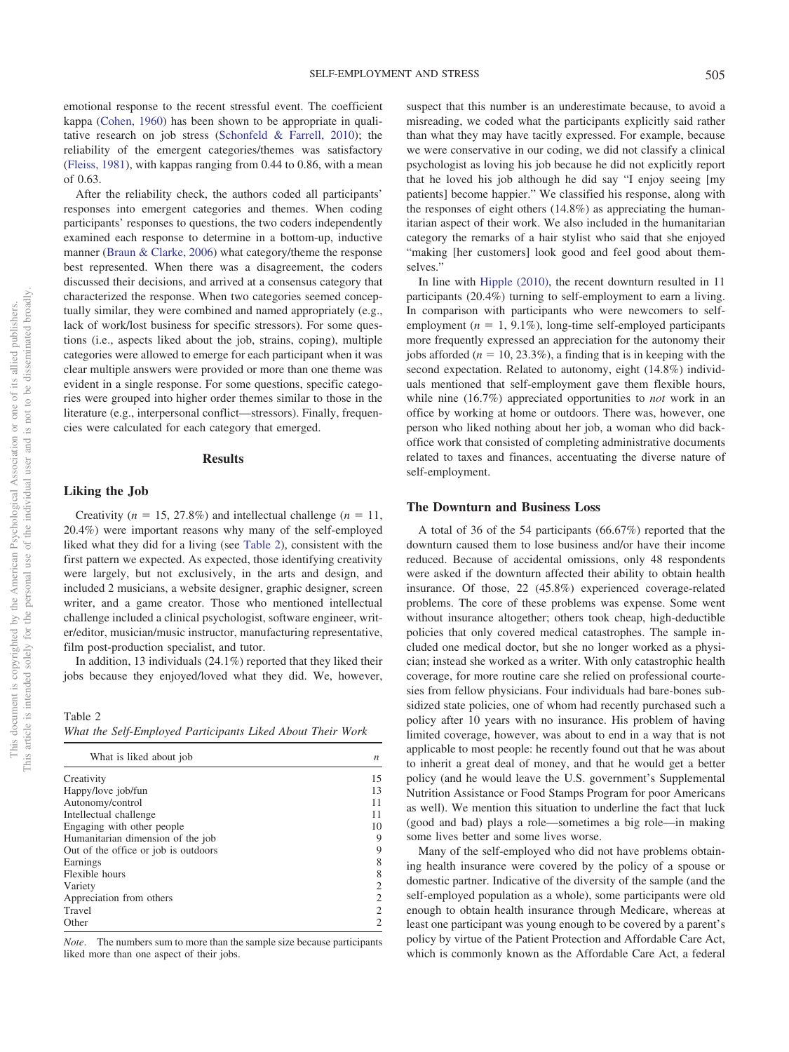emotional response to the recent stressful event. The coefficient kappa [\(Cohen, 1960\)](#page-10-12) has been shown to be appropriate in qualitative research on job stress [\(Schonfeld & Farrell, 2010\)](#page-11-30); the reliability of the emergent categories/themes was satisfactory [\(Fleiss, 1981\)](#page-11-31), with kappas ranging from 0.44 to 0.86, with a mean of 0.63.

After the reliability check, the authors coded all participants' responses into emergent categories and themes. When coding participants' responses to questions, the two coders independently examined each response to determine in a bottom-up, inductive manner [\(Braun & Clarke, 2006\)](#page-10-11) what category/theme the response best represented. When there was a disagreement, the coders discussed their decisions, and arrived at a consensus category that characterized the response. When two categories seemed conceptually similar, they were combined and named appropriately (e.g., lack of work/lost business for specific stressors). For some questions (i.e., aspects liked about the job, strains, coping), multiple categories were allowed to emerge for each participant when it was clear multiple answers were provided or more than one theme was evident in a single response. For some questions, specific categories were grouped into higher order themes similar to those in the literature (e.g., interpersonal conflict—stressors). Finally, frequencies were calculated for each category that emerged.

## **Results**

### **Liking the Job**

Creativity ( $n = 15, 27.8\%$ ) and intellectual challenge ( $n = 11$ , 20.4%) were important reasons why many of the self-employed liked what they did for a living (see [Table 2\)](#page-4-0), consistent with the first pattern we expected. As expected, those identifying creativity were largely, but not exclusively, in the arts and design, and included 2 musicians, a website designer, graphic designer, screen writer, and a game creator. Those who mentioned intellectual challenge included a clinical psychologist, software engineer, writer/editor, musician/music instructor, manufacturing representative, film post-production specialist, and tutor.

In addition, 13 individuals (24.1%) reported that they liked their jobs because they enjoyed/loved what they did. We, however,

<span id="page-4-0"></span>Table 2

|  | What the Self-Employed Participants Liked About Their Work |  |  |
|--|------------------------------------------------------------|--|--|
|  |                                                            |  |  |

| What is liked about job              | n                           |  |
|--------------------------------------|-----------------------------|--|
| Creativity                           | 15                          |  |
| Happy/love job/fun                   | 13                          |  |
| Autonomy/control                     | 11                          |  |
| Intellectual challenge               | 11                          |  |
| Engaging with other people           | 10                          |  |
| Humanitarian dimension of the job    | 9                           |  |
| Out of the office or job is outdoors | 9                           |  |
| Earnings                             | 8                           |  |
| Flexible hours                       | 8                           |  |
| Variety                              |                             |  |
| Appreciation from others             |                             |  |
| Travel                               | $\mathcal{D}_{\mathcal{L}}$ |  |
| Other                                |                             |  |

*Note*. The numbers sum to more than the sample size because participants liked more than one aspect of their jobs.

suspect that this number is an underestimate because, to avoid a misreading, we coded what the participants explicitly said rather than what they may have tacitly expressed. For example, because we were conservative in our coding, we did not classify a clinical psychologist as loving his job because he did not explicitly report that he loved his job although he did say "I enjoy seeing [my patients] become happier." We classified his response, along with the responses of eight others (14.8%) as appreciating the humanitarian aspect of their work. We also included in the humanitarian category the remarks of a hair stylist who said that she enjoyed "making [her customers] look good and feel good about themselves."

In line with [Hipple \(2010\),](#page-11-4) the recent downturn resulted in 11 participants (20.4%) turning to self-employment to earn a living. In comparison with participants who were newcomers to selfemployment  $(n = 1, 9.1\%)$ , long-time self-employed participants more frequently expressed an appreciation for the autonomy their jobs afforded  $(n = 10, 23.3\%)$ , a finding that is in keeping with the second expectation. Related to autonomy, eight (14.8%) individuals mentioned that self-employment gave them flexible hours, while nine (16.7%) appreciated opportunities to *not* work in an office by working at home or outdoors. There was, however, one person who liked nothing about her job, a woman who did backoffice work that consisted of completing administrative documents related to taxes and finances, accentuating the diverse nature of self-employment.

## **The Downturn and Business Loss**

A total of 36 of the 54 participants (66.67%) reported that the downturn caused them to lose business and/or have their income reduced. Because of accidental omissions, only 48 respondents were asked if the downturn affected their ability to obtain health insurance. Of those, 22 (45.8%) experienced coverage-related problems. The core of these problems was expense. Some went without insurance altogether; others took cheap, high-deductible policies that only covered medical catastrophes. The sample included one medical doctor, but she no longer worked as a physician; instead she worked as a writer. With only catastrophic health coverage, for more routine care she relied on professional courtesies from fellow physicians. Four individuals had bare-bones subsidized state policies, one of whom had recently purchased such a policy after 10 years with no insurance. His problem of having limited coverage, however, was about to end in a way that is not applicable to most people: he recently found out that he was about to inherit a great deal of money, and that he would get a better policy (and he would leave the U.S. government's Supplemental Nutrition Assistance or Food Stamps Program for poor Americans as well). We mention this situation to underline the fact that luck (good and bad) plays a role—sometimes a big role—in making some lives better and some lives worse.

Many of the self-employed who did not have problems obtaining health insurance were covered by the policy of a spouse or domestic partner. Indicative of the diversity of the sample (and the self-employed population as a whole), some participants were old enough to obtain health insurance through Medicare, whereas at least one participant was young enough to be covered by a parent's policy by virtue of the Patient Protection and Affordable Care Act, which is commonly known as the Affordable Care Act, a federal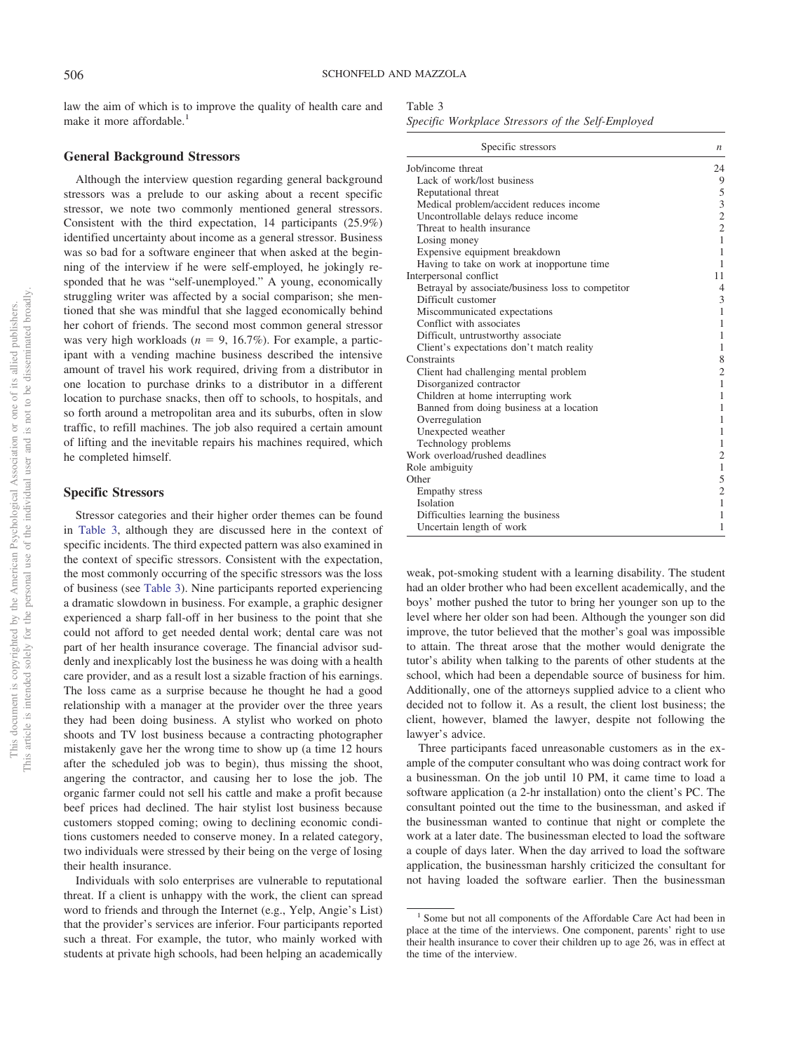law the aim of which is to improve the quality of health care and make it more affordable.<sup>1</sup>

### **General Background Stressors**

Although the interview question regarding general background stressors was a prelude to our asking about a recent specific stressor, we note two commonly mentioned general stressors. Consistent with the third expectation, 14 participants (25.9%) identified uncertainty about income as a general stressor. Business was so bad for a software engineer that when asked at the beginning of the interview if he were self-employed, he jokingly responded that he was "self-unemployed." A young, economically struggling writer was affected by a social comparison; she mentioned that she was mindful that she lagged economically behind her cohort of friends. The second most common general stressor was very high workloads  $(n = 9, 16.7\%)$ . For example, a participant with a vending machine business described the intensive amount of travel his work required, driving from a distributor in one location to purchase drinks to a distributor in a different location to purchase snacks, then off to schools, to hospitals, and so forth around a metropolitan area and its suburbs, often in slow traffic, to refill machines. The job also required a certain amount of lifting and the inevitable repairs his machines required, which he completed himself.

#### **Specific Stressors**

Stressor categories and their higher order themes can be found in [Table 3,](#page-5-0) although they are discussed here in the context of specific incidents. The third expected pattern was also examined in the context of specific stressors. Consistent with the expectation, the most commonly occurring of the specific stressors was the loss of business (see [Table 3\)](#page-5-0). Nine participants reported experiencing a dramatic slowdown in business. For example, a graphic designer experienced a sharp fall-off in her business to the point that she could not afford to get needed dental work; dental care was not part of her health insurance coverage. The financial advisor suddenly and inexplicably lost the business he was doing with a health care provider, and as a result lost a sizable fraction of his earnings. The loss came as a surprise because he thought he had a good relationship with a manager at the provider over the three years they had been doing business. A stylist who worked on photo shoots and TV lost business because a contracting photographer mistakenly gave her the wrong time to show up (a time 12 hours after the scheduled job was to begin), thus missing the shoot, angering the contractor, and causing her to lose the job. The organic farmer could not sell his cattle and make a profit because beef prices had declined. The hair stylist lost business because customers stopped coming; owing to declining economic conditions customers needed to conserve money. In a related category, two individuals were stressed by their being on the verge of losing their health insurance.

Individuals with solo enterprises are vulnerable to reputational threat. If a client is unhappy with the work, the client can spread word to friends and through the Internet (e.g., Yelp, Angie's List) that the provider's services are inferior. Four participants reported such a threat. For example, the tutor, who mainly worked with students at private high schools, had been helping an academically

<span id="page-5-0"></span>

| Specific Workplace Stressors of the Self-Employed |  |  |  |  |
|---------------------------------------------------|--|--|--|--|
|---------------------------------------------------|--|--|--|--|

| Specific stressors                                | $\boldsymbol{n}$                           |
|---------------------------------------------------|--------------------------------------------|
| Job/income threat                                 | 24                                         |
| Lack of work/lost business                        | 9                                          |
| Reputational threat                               | 5                                          |
| Medical problem/accident reduces income           |                                            |
| Uncontrollable delays reduce income               | $\begin{array}{c} 3 \\ 2 \\ 2 \end{array}$ |
| Threat to health insurance                        |                                            |
| Losing money                                      | $\mathbf{1}$                               |
| Expensive equipment breakdown                     | $\mathbf{1}$                               |
| Having to take on work at inopportune time        | $\mathbf{1}$                               |
| Interpersonal conflict                            | 11                                         |
| Betrayal by associate/business loss to competitor | $\overline{4}$                             |
| Difficult customer                                | 3                                          |
| Miscommunicated expectations                      | $\mathbf{1}$                               |
| Conflict with associates                          | $\mathbf{1}$                               |
| Difficult, untrustworthy associate                | $\mathbf{1}$                               |
| Client's expectations don't match reality         | $\mathbf{1}$                               |
| Constraints                                       | 8                                          |
| Client had challenging mental problem             | $\overline{\mathbf{c}}$                    |
| Disorganized contractor                           | $\mathbf{1}$                               |
| Children at home interrupting work                | $\mathbf{1}$                               |
| Banned from doing business at a location          | $\mathbf{1}$                               |
| Overregulation                                    | $\mathbf{1}$                               |
| Unexpected weather                                | $\,1$                                      |
| Technology problems                               | $\mathbf{1}$                               |
| Work overload/rushed deadlines                    | $\overline{c}$                             |
| Role ambiguity                                    | $\mathbf{1}$                               |
| Other                                             | 5                                          |
| Empathy stress                                    | $\overline{c}$                             |
| Isolation                                         | $\mathbf{1}$                               |
| Difficulties learning the business                | 1                                          |
| Uncertain length of work                          | 1                                          |

weak, pot-smoking student with a learning disability. The student had an older brother who had been excellent academically, and the boys' mother pushed the tutor to bring her younger son up to the level where her older son had been. Although the younger son did improve, the tutor believed that the mother's goal was impossible to attain. The threat arose that the mother would denigrate the tutor's ability when talking to the parents of other students at the school, which had been a dependable source of business for him. Additionally, one of the attorneys supplied advice to a client who decided not to follow it. As a result, the client lost business; the client, however, blamed the lawyer, despite not following the lawyer's advice.

Three participants faced unreasonable customers as in the example of the computer consultant who was doing contract work for a businessman. On the job until 10 PM, it came time to load a software application (a 2-hr installation) onto the client's PC. The consultant pointed out the time to the businessman, and asked if the businessman wanted to continue that night or complete the work at a later date. The businessman elected to load the software a couple of days later. When the day arrived to load the software application, the businessman harshly criticized the consultant for not having loaded the software earlier. Then the businessman

<sup>&</sup>lt;sup>1</sup> Some but not all components of the Affordable Care Act had been in place at the time of the interviews. One component, parents' right to use their health insurance to cover their children up to age 26, was in effect at the time of the interview.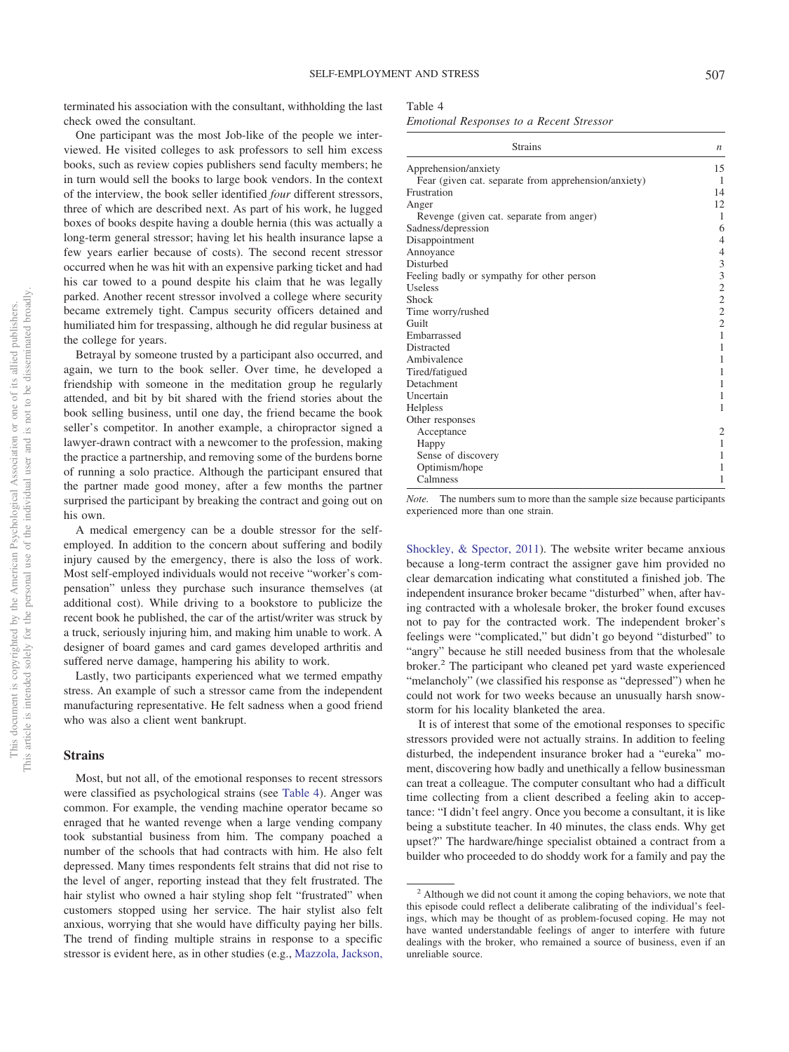terminated his association with the consultant, withholding the last check owed the consultant.

One participant was the most Job-like of the people we interviewed. He visited colleges to ask professors to sell him excess books, such as review copies publishers send faculty members; he in turn would sell the books to large book vendors. In the context of the interview, the book seller identified *four* different stressors, three of which are described next. As part of his work, he lugged boxes of books despite having a double hernia (this was actually a long-term general stressor; having let his health insurance lapse a few years earlier because of costs). The second recent stressor occurred when he was hit with an expensive parking ticket and had his car towed to a pound despite his claim that he was legally parked. Another recent stressor involved a college where security became extremely tight. Campus security officers detained and humiliated him for trespassing, although he did regular business at the college for years.

Betrayal by someone trusted by a participant also occurred, and again, we turn to the book seller. Over time, he developed a friendship with someone in the meditation group he regularly attended, and bit by bit shared with the friend stories about the book selling business, until one day, the friend became the book seller's competitor. In another example, a chiropractor signed a lawyer-drawn contract with a newcomer to the profession, making the practice a partnership, and removing some of the burdens borne of running a solo practice. Although the participant ensured that the partner made good money, after a few months the partner surprised the participant by breaking the contract and going out on his own.

A medical emergency can be a double stressor for the selfemployed. In addition to the concern about suffering and bodily injury caused by the emergency, there is also the loss of work. Most self-employed individuals would not receive "worker's compensation" unless they purchase such insurance themselves (at additional cost). While driving to a bookstore to publicize the recent book he published, the car of the artist/writer was struck by a truck, seriously injuring him, and making him unable to work. A designer of board games and card games developed arthritis and suffered nerve damage, hampering his ability to work.

Lastly, two participants experienced what we termed empathy stress. An example of such a stressor came from the independent manufacturing representative. He felt sadness when a good friend who was also a client went bankrupt.

#### **Strains**

Most, but not all, of the emotional responses to recent stressors were classified as psychological strains (see [Table 4\)](#page-6-0). Anger was common. For example, the vending machine operator became so enraged that he wanted revenge when a large vending company took substantial business from him. The company poached a number of the schools that had contracts with him. He also felt depressed. Many times respondents felt strains that did not rise to the level of anger, reporting instead that they felt frustrated. The hair stylist who owned a hair styling shop felt "frustrated" when customers stopped using her service. The hair stylist also felt anxious, worrying that she would have difficulty paying her bills. The trend of finding multiple strains in response to a specific stressor is evident here, as in other studies (e.g., [Mazzola, Jackson,](#page-11-32)

<span id="page-6-0"></span>

*Emotional Responses to a Recent Stressor*

| <b>Strains</b>                                       | $\boldsymbol{n}$ |
|------------------------------------------------------|------------------|
| Apprehension/anxiety                                 | 15               |
| Fear (given cat. separate from apprehension/anxiety) | 1                |
| Frustration                                          | 14               |
| Anger                                                | 12               |
| Revenge (given cat. separate from anger)             | 1                |
| Sadness/depression                                   | 6                |
| Disappointment                                       | 4                |
| Annoyance                                            | $\overline{4}$   |
| Disturbed                                            |                  |
| Feeling badly or sympathy for other person           |                  |
| <b>Useless</b>                                       |                  |
| Shock                                                |                  |
| Time worry/rushed                                    | 33222            |
| Guilt                                                |                  |
| Embarrassed                                          | $\mathbf{1}$     |
| Distracted                                           | 1                |
| Ambivalence                                          | 1                |
| Tired/fatigued                                       | 1                |
| Detachment                                           | 1                |
| Uncertain                                            |                  |
| Helpless                                             | 1                |
| Other responses                                      |                  |
| Acceptance                                           | $\overline{c}$   |
| Happy                                                | 1                |
| Sense of discovery                                   | 1                |
| Optimism/hope                                        | 1                |
| Calmness                                             | 1                |

*Note.* The numbers sum to more than the sample size because participants experienced more than one strain.

[Shockley, & Spector, 2011\)](#page-11-32). The website writer became anxious because a long-term contract the assigner gave him provided no clear demarcation indicating what constituted a finished job. The independent insurance broker became "disturbed" when, after having contracted with a wholesale broker, the broker found excuses not to pay for the contracted work. The independent broker's feelings were "complicated," but didn't go beyond "disturbed" to "angry" because he still needed business from that the wholesale broker.<sup>2</sup> The participant who cleaned pet yard waste experienced "melancholy" (we classified his response as "depressed") when he could not work for two weeks because an unusually harsh snowstorm for his locality blanketed the area.

It is of interest that some of the emotional responses to specific stressors provided were not actually strains. In addition to feeling disturbed, the independent insurance broker had a "eureka" moment, discovering how badly and unethically a fellow businessman can treat a colleague. The computer consultant who had a difficult time collecting from a client described a feeling akin to acceptance: "I didn't feel angry. Once you become a consultant, it is like being a substitute teacher. In 40 minutes, the class ends. Why get upset?" The hardware/hinge specialist obtained a contract from a builder who proceeded to do shoddy work for a family and pay the

<sup>&</sup>lt;sup>2</sup> Although we did not count it among the coping behaviors, we note that this episode could reflect a deliberate calibrating of the individual's feelings, which may be thought of as problem-focused coping. He may not have wanted understandable feelings of anger to interfere with future dealings with the broker, who remained a source of business, even if an unreliable source.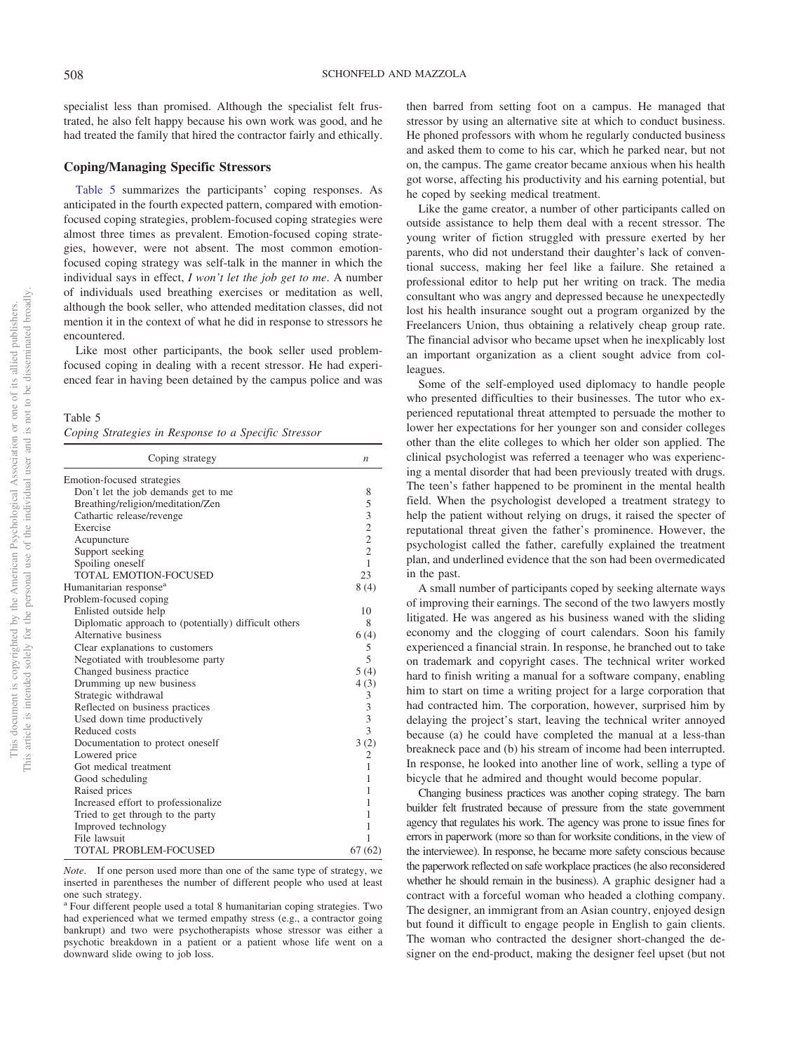specialist less than promised. Although the specialist felt frustrated, he also felt happy because his own work was good, and he had treated the family that hired the contractor fairly and ethically.

### **Coping/Managing Specific Stressors**

[Table 5](#page-7-0) summarizes the participants' coping responses. As anticipated in the fourth expected pattern, compared with emotionfocused coping strategies, problem-focused coping strategies were almost three times as prevalent. Emotion-focused coping strategies, however, were not absent. The most common emotionfocused coping strategy was self-talk in the manner in which the individual says in effect, *I won't let the job get to me*. A number of individuals used breathing exercises or meditation as well, although the book seller, who attended meditation classes, did not mention it in the context of what he did in response to stressors he encountered.

Like most other participants, the book seller used problemfocused coping in dealing with a recent stressor. He had experienced fear in having been detained by the campus police and was

<span id="page-7-0"></span>Table 5 *Coping Strategies in Response to a Specific Stressor*

| Coping strategy                                       | n                                               |
|-------------------------------------------------------|-------------------------------------------------|
| Emotion-focused strategies                            |                                                 |
| Don't let the job demands get to me                   | 8                                               |
| Breathing/religion/meditation/Zen                     |                                                 |
| Cathartic release/revenge                             |                                                 |
| Exercise                                              | $\frac{5}{3}$<br>$\frac{2}{2}$                  |
| Acupuncture                                           |                                                 |
| Support seeking                                       |                                                 |
| Spoiling oneself                                      | $\mathbf{1}$                                    |
| TOTAL EMOTION-FOCUSED                                 | 23                                              |
| Humanitarian response <sup>a</sup>                    | 8(4)                                            |
| Problem-focused coping                                |                                                 |
| Enlisted outside help                                 | 10                                              |
| Diplomatic approach to (potentially) difficult others | 8                                               |
| Alternative business                                  | 6(4)                                            |
| Clear explanations to customers                       | 5                                               |
| Negotiated with troublesome party                     | 5                                               |
| Changed business practice                             | 5(4)                                            |
| Drumming up new business                              | 4(3)                                            |
| Strategic withdrawal                                  |                                                 |
| Reflected on business practices                       |                                                 |
| Used down time productively                           | $\begin{array}{c} 3 \\ 3 \\ 3 \\ 3 \end{array}$ |
| Reduced costs                                         |                                                 |
| Documentation to protect oneself                      | 3(2)                                            |
| Lowered price                                         | $\overline{2}$                                  |
| Got medical treatment                                 | 1                                               |
| Good scheduling                                       | 1                                               |
| Raised prices                                         | 1                                               |
| Increased effort to professionalize                   | 1                                               |
| Tried to get through to the party                     | 1                                               |
| Improved technology                                   | 1                                               |
| File lawsuit                                          |                                                 |
| <b>TOTAL PROBLEM-FOCUSED</b>                          | 67(62)                                          |

*Note*. If one person used more than one of the same type of strategy, we inserted in parentheses the number of different people who used at least one such strategy.

then barred from setting foot on a campus. He managed that stressor by using an alternative site at which to conduct business. He phoned professors with whom he regularly conducted business and asked them to come to his car, which he parked near, but not on, the campus. The game creator became anxious when his health got worse, affecting his productivity and his earning potential, but he coped by seeking medical treatment.

Like the game creator, a number of other participants called on outside assistance to help them deal with a recent stressor. The young writer of fiction struggled with pressure exerted by her parents, who did not understand their daughter's lack of conventional success, making her feel like a failure. She retained a professional editor to help put her writing on track. The media consultant who was angry and depressed because he unexpectedly lost his health insurance sought out a program organized by the Freelancers Union, thus obtaining a relatively cheap group rate. The financial advisor who became upset when he inexplicably lost an important organization as a client sought advice from colleagues.

Some of the self-employed used diplomacy to handle people who presented difficulties to their businesses. The tutor who experienced reputational threat attempted to persuade the mother to lower her expectations for her younger son and consider colleges other than the elite colleges to which her older son applied. The clinical psychologist was referred a teenager who was experiencing a mental disorder that had been previously treated with drugs. The teen's father happened to be prominent in the mental health field. When the psychologist developed a treatment strategy to help the patient without relying on drugs, it raised the specter of reputational threat given the father's prominence. However, the psychologist called the father, carefully explained the treatment plan, and underlined evidence that the son had been overmedicated in the past.

A small number of participants coped by seeking alternate ways of improving their earnings. The second of the two lawyers mostly litigated. He was angered as his business waned with the sliding economy and the clogging of court calendars. Soon his family experienced a financial strain. In response, he branched out to take on trademark and copyright cases. The technical writer worked hard to finish writing a manual for a software company, enabling him to start on time a writing project for a large corporation that had contracted him. The corporation, however, surprised him by delaying the project's start, leaving the technical writer annoyed because (a) he could have completed the manual at a less-than breakneck pace and (b) his stream of income had been interrupted. In response, he looked into another line of work, selling a type of bicycle that he admired and thought would become popular.

Changing business practices was another coping strategy. The barn builder felt frustrated because of pressure from the state government agency that regulates his work. The agency was prone to issue fines for errors in paperwork (more so than for worksite conditions, in the view of the interviewee). In response, he became more safety conscious because the paperwork reflected on safe workplace practices (he also reconsidered whether he should remain in the business). A graphic designer had a contract with a forceful woman who headed a clothing company. The designer, an immigrant from an Asian country, enjoyed design but found it difficult to engage people in English to gain clients. The woman who contracted the designer short-changed the designer on the end-product, making the designer feel upset (but not

<sup>&</sup>lt;sup>a</sup> Four different people used a total 8 humanitarian coping strategies. Two had experienced what we termed empathy stress (e.g., a contractor going bankrupt) and two were psychotherapists whose stressor was either a psychotic breakdown in a patient or a patient whose life went on a downward slide owing to job loss.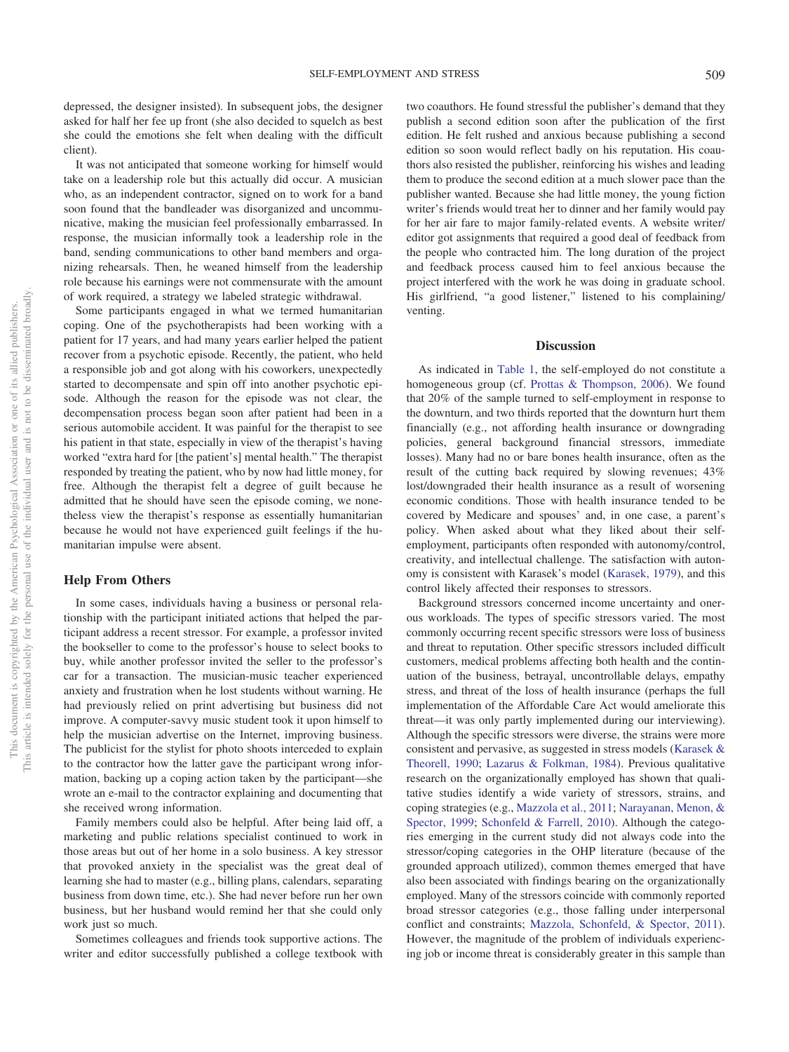depressed, the designer insisted). In subsequent jobs, the designer asked for half her fee up front (she also decided to squelch as best she could the emotions she felt when dealing with the difficult client).

It was not anticipated that someone working for himself would take on a leadership role but this actually did occur. A musician who, as an independent contractor, signed on to work for a band soon found that the bandleader was disorganized and uncommunicative, making the musician feel professionally embarrassed. In response, the musician informally took a leadership role in the band, sending communications to other band members and organizing rehearsals. Then, he weaned himself from the leadership role because his earnings were not commensurate with the amount of work required, a strategy we labeled strategic withdrawal.

Some participants engaged in what we termed humanitarian coping. One of the psychotherapists had been working with a patient for 17 years, and had many years earlier helped the patient recover from a psychotic episode. Recently, the patient, who held a responsible job and got along with his coworkers, unexpectedly started to decompensate and spin off into another psychotic episode. Although the reason for the episode was not clear, the decompensation process began soon after patient had been in a serious automobile accident. It was painful for the therapist to see his patient in that state, especially in view of the therapist's having worked "extra hard for [the patient's] mental health." The therapist responded by treating the patient, who by now had little money, for free. Although the therapist felt a degree of guilt because he admitted that he should have seen the episode coming, we nonetheless view the therapist's response as essentially humanitarian because he would not have experienced guilt feelings if the humanitarian impulse were absent.

## **Help From Others**

In some cases, individuals having a business or personal relationship with the participant initiated actions that helped the participant address a recent stressor. For example, a professor invited the bookseller to come to the professor's house to select books to buy, while another professor invited the seller to the professor's car for a transaction. The musician-music teacher experienced anxiety and frustration when he lost students without warning. He had previously relied on print advertising but business did not improve. A computer-savvy music student took it upon himself to help the musician advertise on the Internet, improving business. The publicist for the stylist for photo shoots interceded to explain to the contractor how the latter gave the participant wrong information, backing up a coping action taken by the participant—she wrote an e-mail to the contractor explaining and documenting that she received wrong information.

Family members could also be helpful. After being laid off, a marketing and public relations specialist continued to work in those areas but out of her home in a solo business. A key stressor that provoked anxiety in the specialist was the great deal of learning she had to master (e.g., billing plans, calendars, separating business from down time, etc.). She had never before run her own business, but her husband would remind her that she could only work just so much.

Sometimes colleagues and friends took supportive actions. The writer and editor successfully published a college textbook with two coauthors. He found stressful the publisher's demand that they publish a second edition soon after the publication of the first edition. He felt rushed and anxious because publishing a second edition so soon would reflect badly on his reputation. His coauthors also resisted the publisher, reinforcing his wishes and leading them to produce the second edition at a much slower pace than the publisher wanted. Because she had little money, the young fiction writer's friends would treat her to dinner and her family would pay for her air fare to major family-related events. A website writer/ editor got assignments that required a good deal of feedback from the people who contracted him. The long duration of the project and feedback process caused him to feel anxious because the project interfered with the work he was doing in graduate school. His girlfriend, "a good listener," listened to his complaining/ venting.

#### **Discussion**

As indicated in [Table 1,](#page-3-0) the self-employed do not constitute a homogeneous group (cf. [Prottas & Thompson, 2006\)](#page-11-10). We found that 20% of the sample turned to self-employment in response to the downturn, and two thirds reported that the downturn hurt them financially (e.g., not affording health insurance or downgrading policies, general background financial stressors, immediate losses). Many had no or bare bones health insurance, often as the result of the cutting back required by slowing revenues; 43% lost/downgraded their health insurance as a result of worsening economic conditions. Those with health insurance tended to be covered by Medicare and spouses' and, in one case, a parent's policy. When asked about what they liked about their selfemployment, participants often responded with autonomy/control, creativity, and intellectual challenge. The satisfaction with autonomy is consistent with Karasek's model [\(Karasek, 1979\)](#page-11-11), and this control likely affected their responses to stressors.

Background stressors concerned income uncertainty and onerous workloads. The types of specific stressors varied. The most commonly occurring recent specific stressors were loss of business and threat to reputation. Other specific stressors included difficult customers, medical problems affecting both health and the continuation of the business, betrayal, uncontrollable delays, empathy stress, and threat of the loss of health insurance (perhaps the full implementation of the Affordable Care Act would ameliorate this threat—it was only partly implemented during our interviewing). Although the specific stressors were diverse, the strains were more consistent and pervasive, as suggested in stress models [\(Karasek &](#page-11-12) [Theorell, 1990;](#page-11-12) [Lazarus & Folkman, 1984\)](#page-11-7). Previous qualitative research on the organizationally employed has shown that qualitative studies identify a wide variety of stressors, strains, and coping strategies (e.g., [Mazzola et al., 2011;](#page-11-32) [Narayanan, Menon, &](#page-11-28) [Spector, 1999;](#page-11-28) [Schonfeld & Farrell, 2010\)](#page-11-30). Although the categories emerging in the current study did not always code into the stressor/coping categories in the OHP literature (because of the grounded approach utilized), common themes emerged that have also been associated with findings bearing on the organizationally employed. Many of the stressors coincide with commonly reported broad stressor categories (e.g., those falling under interpersonal conflict and constraints; [Mazzola, Schonfeld, & Spector, 2011\)](#page-11-33). However, the magnitude of the problem of individuals experiencing job or income threat is considerably greater in this sample than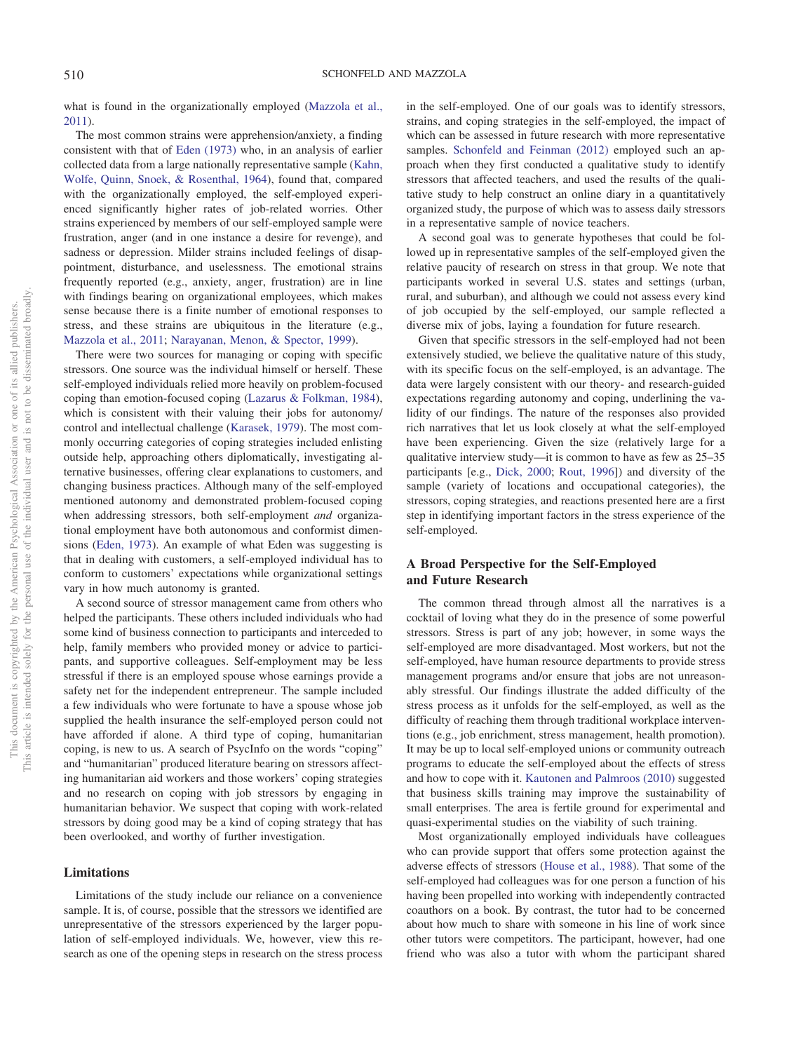what is found in the organizationally employed [\(Mazzola et al.,](#page-11-32) [2011\)](#page-11-32).

The most common strains were apprehension/anxiety, a finding consistent with that of [Eden \(1973\)](#page-11-0) who, in an analysis of earlier collected data from a large nationally representative sample [\(Kahn,](#page-11-34) [Wolfe, Quinn, Snoek, & Rosenthal, 1964\)](#page-11-34), found that, compared with the organizationally employed, the self-employed experienced significantly higher rates of job-related worries. Other strains experienced by members of our self-employed sample were frustration, anger (and in one instance a desire for revenge), and sadness or depression. Milder strains included feelings of disappointment, disturbance, and uselessness. The emotional strains frequently reported (e.g., anxiety, anger, frustration) are in line with findings bearing on organizational employees, which makes sense because there is a finite number of emotional responses to stress, and these strains are ubiquitous in the literature (e.g., [Mazzola et al., 2011;](#page-11-32) [Narayanan, Menon, & Spector, 1999\)](#page-11-28).

There were two sources for managing or coping with specific stressors. One source was the individual himself or herself. These self-employed individuals relied more heavily on problem-focused coping than emotion-focused coping [\(Lazarus & Folkman, 1984\)](#page-11-7), which is consistent with their valuing their jobs for autonomy/ control and intellectual challenge [\(Karasek, 1979\)](#page-11-11). The most commonly occurring categories of coping strategies included enlisting outside help, approaching others diplomatically, investigating alternative businesses, offering clear explanations to customers, and changing business practices. Although many of the self-employed mentioned autonomy and demonstrated problem-focused coping when addressing stressors, both self-employment *and* organizational employment have both autonomous and conformist dimensions [\(Eden, 1973\)](#page-11-0). An example of what Eden was suggesting is that in dealing with customers, a self-employed individual has to conform to customers' expectations while organizational settings vary in how much autonomy is granted.

A second source of stressor management came from others who helped the participants. These others included individuals who had some kind of business connection to participants and interceded to help, family members who provided money or advice to participants, and supportive colleagues. Self-employment may be less stressful if there is an employed spouse whose earnings provide a safety net for the independent entrepreneur. The sample included a few individuals who were fortunate to have a spouse whose job supplied the health insurance the self-employed person could not have afforded if alone. A third type of coping, humanitarian coping, is new to us. A search of PsycInfo on the words "coping" and "humanitarian" produced literature bearing on stressors affecting humanitarian aid workers and those workers' coping strategies and no research on coping with job stressors by engaging in humanitarian behavior. We suspect that coping with work-related stressors by doing good may be a kind of coping strategy that has been overlooked, and worthy of further investigation.

#### **Limitations**

Limitations of the study include our reliance on a convenience sample. It is, of course, possible that the stressors we identified are unrepresentative of the stressors experienced by the larger population of self-employed individuals. We, however, view this research as one of the opening steps in research on the stress process in the self-employed. One of our goals was to identify stressors, strains, and coping strategies in the self-employed, the impact of which can be assessed in future research with more representative samples. [Schonfeld and Feinman \(2012\)](#page-12-10) employed such an approach when they first conducted a qualitative study to identify stressors that affected teachers, and used the results of the qualitative study to help construct an online diary in a quantitatively organized study, the purpose of which was to assess daily stressors in a representative sample of novice teachers.

A second goal was to generate hypotheses that could be followed up in representative samples of the self-employed given the relative paucity of research on stress in that group. We note that participants worked in several U.S. states and settings (urban, rural, and suburban), and although we could not assess every kind of job occupied by the self-employed, our sample reflected a diverse mix of jobs, laying a foundation for future research.

Given that specific stressors in the self-employed had not been extensively studied, we believe the qualitative nature of this study, with its specific focus on the self-employed, is an advantage. The data were largely consistent with our theory- and research-guided expectations regarding autonomy and coping, underlining the validity of our findings. The nature of the responses also provided rich narratives that let us look closely at what the self-employed have been experiencing. Given the size (relatively large for a qualitative interview study—it is common to have as few as 25–35 participants [e.g., [Dick, 2000;](#page-11-35) [Rout, 1996\]](#page-11-36)) and diversity of the sample (variety of locations and occupational categories), the stressors, coping strategies, and reactions presented here are a first step in identifying important factors in the stress experience of the self-employed.

# **A Broad Perspective for the Self-Employed and Future Research**

The common thread through almost all the narratives is a cocktail of loving what they do in the presence of some powerful stressors. Stress is part of any job; however, in some ways the self-employed are more disadvantaged. Most workers, but not the self-employed, have human resource departments to provide stress management programs and/or ensure that jobs are not unreasonably stressful. Our findings illustrate the added difficulty of the stress process as it unfolds for the self-employed, as well as the difficulty of reaching them through traditional workplace interventions (e.g., job enrichment, stress management, health promotion). It may be up to local self-employed unions or community outreach programs to educate the self-employed about the effects of stress and how to cope with it. [Kautonen and Palmroos \(2010\)](#page-11-6) suggested that business skills training may improve the sustainability of small enterprises. The area is fertile ground for experimental and quasi-experimental studies on the viability of such training.

Most organizationally employed individuals have colleagues who can provide support that offers some protection against the adverse effects of stressors [\(House et al., 1988\)](#page-11-19). That some of the self-employed had colleagues was for one person a function of his having been propelled into working with independently contracted coauthors on a book. By contrast, the tutor had to be concerned about how much to share with someone in his line of work since other tutors were competitors. The participant, however, had one friend who was also a tutor with whom the participant shared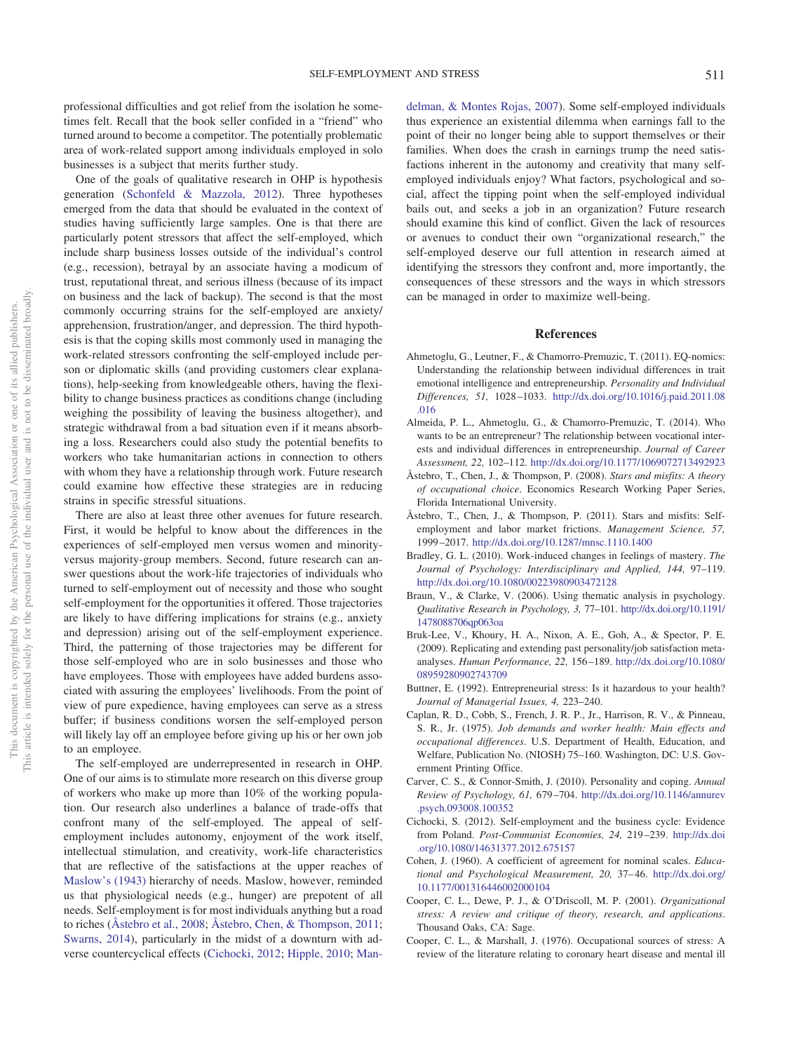One of the goals of qualitative research in OHP is hypothesis generation [\(Schonfeld & Mazzola, 2012\)](#page-12-9). Three hypotheses emerged from the data that should be evaluated in the context of studies having sufficiently large samples. One is that there are particularly potent stressors that affect the self-employed, which include sharp business losses outside of the individual's control (e.g., recession), betrayal by an associate having a modicum of trust, reputational threat, and serious illness (because of its impact on business and the lack of backup). The second is that the most commonly occurring strains for the self-employed are anxiety/ apprehension, frustration/anger, and depression. The third hypothesis is that the coping skills most commonly used in managing the work-related stressors confronting the self-employed include person or diplomatic skills (and providing customers clear explanations), help-seeking from knowledgeable others, having the flexibility to change business practices as conditions change (including weighing the possibility of leaving the business altogether), and strategic withdrawal from a bad situation even if it means absorbing a loss. Researchers could also study the potential benefits to workers who take humanitarian actions in connection to others with whom they have a relationship through work. Future research could examine how effective these strategies are in reducing strains in specific stressful situations.

There are also at least three other avenues for future research. First, it would be helpful to know about the differences in the experiences of self-employed men versus women and minorityversus majority-group members. Second, future research can answer questions about the work-life trajectories of individuals who turned to self-employment out of necessity and those who sought self-employment for the opportunities it offered. Those trajectories are likely to have differing implications for strains (e.g., anxiety and depression) arising out of the self-employment experience. Third, the patterning of those trajectories may be different for those self-employed who are in solo businesses and those who have employees. Those with employees have added burdens associated with assuring the employees' livelihoods. From the point of view of pure expedience, having employees can serve as a stress buffer; if business conditions worsen the self-employed person will likely lay off an employee before giving up his or her own job to an employee.

The self-employed are underrepresented in research in OHP. One of our aims is to stimulate more research on this diverse group of workers who make up more than 10% of the working population. Our research also underlines a balance of trade-offs that confront many of the self-employed. The appeal of selfemployment includes autonomy, enjoyment of the work itself, intellectual stimulation, and creativity, work-life characteristics that are reflective of the satisfactions at the upper reaches of [Maslow's \(1943\)](#page-11-37) hierarchy of needs. Maslow, however, reminded us that physiological needs (e.g., hunger) are prepotent of all needs. Self-employment is for most individuals anything but a road to riches [\(Åstebro et al., 2008;](#page-10-2) [Åstebro, Chen, & Thompson, 2011;](#page-10-13) [Swarns, 2014\)](#page-12-3), particularly in the midst of a downturn with adverse countercyclical effects [\(Cichocki, 2012;](#page-10-0) [Hipple, 2010;](#page-11-4) [Man-](#page-11-5) [delman, & Montes Rojas, 2007\)](#page-11-5). Some self-employed individuals thus experience an existential dilemma when earnings fall to the point of their no longer being able to support themselves or their families. When does the crash in earnings trump the need satisfactions inherent in the autonomy and creativity that many selfemployed individuals enjoy? What factors, psychological and social, affect the tipping point when the self-employed individual bails out, and seeks a job in an organization? Future research should examine this kind of conflict. Given the lack of resources or avenues to conduct their own "organizational research," the self-employed deserve our full attention in research aimed at identifying the stressors they confront and, more importantly, the consequences of these stressors and the ways in which stressors can be managed in order to maximize well-being.

#### **References**

- <span id="page-10-7"></span>Ahmetoglu, G., Leutner, F., & Chamorro-Premuzic, T. (2011). EQ-nomics: Understanding the relationship between individual differences in trait emotional intelligence and entrepreneurship. *Personality and Individual Differences, 51,* 1028 –1033. [http://dx.doi.org/10.1016/j.paid.2011.08](http://dx.doi.org/10.1016/j.paid.2011.08.016) [.016](http://dx.doi.org/10.1016/j.paid.2011.08.016)
- <span id="page-10-8"></span>Almeida, P. L., Ahmetoglu, G., & Chamorro-Premuzic, T. (2014). Who wants to be an entrepreneur? The relationship between vocational interests and individual differences in entrepreneurship. *Journal of Career Assessment, 22,* 102–112. <http://dx.doi.org/10.1177/1069072713492923>
- <span id="page-10-2"></span>Åstebro, T., Chen, J., & Thompson, P. (2008). *Stars and misfits: A theory of occupational choice*. Economics Research Working Paper Series, Florida International University.
- <span id="page-10-13"></span>Åstebro, T., Chen, J., & Thompson, P. (2011). Stars and misfits: Selfemployment and labor market frictions. *Management Science, 57,* 1999 –2017. <http://dx.doi.org/10.1287/mnsc.1110.1400>
- <span id="page-10-4"></span>Bradley, G. L. (2010). Work-induced changes in feelings of mastery. *The Journal of Psychology: Interdisciplinary and Applied, 144,* 97–119. <http://dx.doi.org/10.1080/00223980903472128>
- <span id="page-10-11"></span>Braun, V., & Clarke, V. (2006). Using thematic analysis in psychology. *Qualitative Research in Psychology, 3,* 77–101. [http://dx.doi.org/10.1191/](http://dx.doi.org/10.1191/1478088706qp063oa) [1478088706qp063oa](http://dx.doi.org/10.1191/1478088706qp063oa)
- <span id="page-10-6"></span>Bruk-Lee, V., Khoury, H. A., Nixon, A. E., Goh, A., & Spector, P. E. (2009). Replicating and extending past personality/job satisfaction metaanalyses. *Human Performance, 22,* 156 –189. [http://dx.doi.org/10.1080/](http://dx.doi.org/10.1080/08959280902743709) [08959280902743709](http://dx.doi.org/10.1080/08959280902743709)
- <span id="page-10-9"></span>Buttner, E. (1992). Entrepreneurial stress: Is it hazardous to your health? *Journal of Managerial Issues, 4,* 223–240.
- <span id="page-10-5"></span>Caplan, R. D., Cobb, S., French, J. R. P., Jr., Harrison, R. V., & Pinneau, S. R., Jr. (1975). *Job demands and worker health: Main effects and occupational differences*. U.S. Department of Health, Education, and Welfare, Publication No. (NIOSH) 75–160. Washington, DC: U.S. Government Printing Office.
- <span id="page-10-10"></span>Carver, C. S., & Connor-Smith, J. (2010). Personality and coping. *Annual Review of Psychology, 61,* 679 –704. [http://dx.doi.org/10.1146/annurev](http://dx.doi.org/10.1146/annurev.psych.093008.100352) [.psych.093008.100352](http://dx.doi.org/10.1146/annurev.psych.093008.100352)
- <span id="page-10-0"></span>Cichocki, S. (2012). Self-employment and the business cycle: Evidence from Poland. *Post-Communist Economies, 24,* 219 –239. [http://dx.doi](http://dx.doi.org/10.1080/14631377.2012.675157) [.org/10.1080/14631377.2012.675157](http://dx.doi.org/10.1080/14631377.2012.675157)
- <span id="page-10-12"></span>Cohen, J. (1960). A coefficient of agreement for nominal scales. *Educational and Psychological Measurement, 20,* 37– 46. [http://dx.doi.org/](http://dx.doi.org/10.1177/001316446002000104) [10.1177/001316446002000104](http://dx.doi.org/10.1177/001316446002000104)
- <span id="page-10-1"></span>Cooper, C. L., Dewe, P. J., & O'Driscoll, M. P. (2001). *Organizational stress: A review and critique of theory, research, and applications*. Thousand Oaks, CA: Sage.
- <span id="page-10-3"></span>Cooper, C. L., & Marshall, J. (1976). Occupational sources of stress: A review of the literature relating to coronary heart disease and mental ill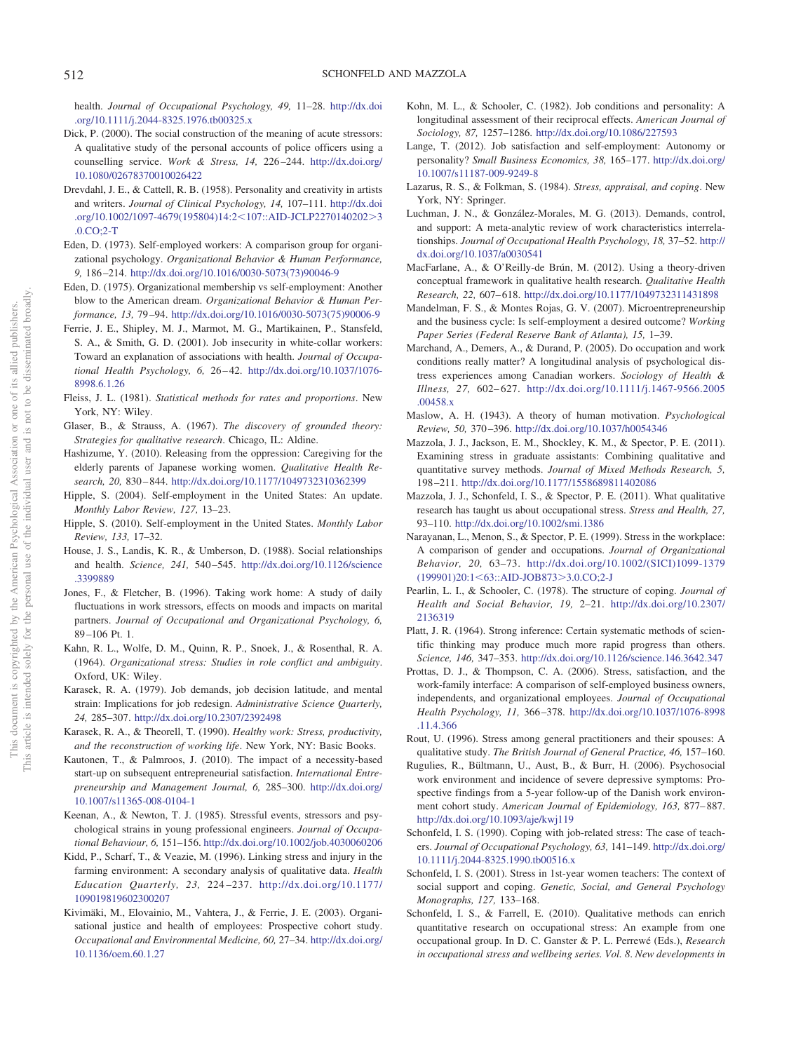health. *Journal of Occupational Psychology, 49,* 11–28. [http://dx.doi](http://dx.doi.org/10.1111/j.2044-8325.1976.tb00325.x) [.org/10.1111/j.2044-8325.1976.tb00325.x](http://dx.doi.org/10.1111/j.2044-8325.1976.tb00325.x)

- <span id="page-11-35"></span>Dick, P. (2000). The social construction of the meaning of acute stressors: A qualitative study of the personal accounts of police officers using a counselling service. *Work & Stress, 14,* 226 –244. [http://dx.doi.org/](http://dx.doi.org/10.1080/02678370010026422) [10.1080/02678370010026422](http://dx.doi.org/10.1080/02678370010026422)
- <span id="page-11-23"></span>Drevdahl, J. E., & Cattell, R. B. (1958). Personality and creativity in artists and writers. *Journal of Clinical Psychology, 14,* 107–111. [http://dx.doi](http://dx.doi.org/10.1002/1097-4679%28195804%2914:2%3C107::AID-JCLP2270140202%3E3.0.CO;2-T) [.org/10.1002/1097-4679\(195804\)14:2](http://dx.doi.org/10.1002/1097-4679%28195804%2914:2%3C107::AID-JCLP2270140202%3E3.0.CO;2-T)<107::AID-JCLP2270140202>3 [.0.CO;2-T](http://dx.doi.org/10.1002/1097-4679%28195804%2914:2%3C107::AID-JCLP2270140202%3E3.0.CO;2-T)
- <span id="page-11-0"></span>Eden, D. (1973). Self-employed workers: A comparison group for organizational psychology. *Organizational Behavior & Human Performance, 9,* 186 –214. [http://dx.doi.org/10.1016/0030-5073\(73\)90046-9](http://dx.doi.org/10.1016/0030-5073%2873%2990046-9)
- <span id="page-11-15"></span>Eden, D. (1975). Organizational membership vs self-employment: Another blow to the American dream. *Organizational Behavior & Human Performance, 13,* 79 –94. [http://dx.doi.org/10.1016/0030-5073\(75\)90006-9](http://dx.doi.org/10.1016/0030-5073%2875%2990006-9)
- <span id="page-11-16"></span>Ferrie, J. E., Shipley, M. J., Marmot, M. G., Martikainen, P., Stansfeld, S. A., & Smith, G. D. (2001). Job insecurity in white-collar workers: Toward an explanation of associations with health. *Journal of Occupational Health Psychology, 6,* 26 – 42. [http://dx.doi.org/10.1037/1076-](http://dx.doi.org/10.1037/1076-8998.6.1.26) [8998.6.1.26](http://dx.doi.org/10.1037/1076-8998.6.1.26)
- <span id="page-11-31"></span>Fleiss, J. L. (1981). *Statistical methods for rates and proportions*. New York, NY: Wiley.
- <span id="page-11-25"></span>Glaser, B., & Strauss, A. (1967). *The discovery of grounded theory: Strategies for qualitative research*. Chicago, IL: Aldine.
- <span id="page-11-8"></span>Hashizume, Y. (2010). Releasing from the oppression: Caregiving for the elderly parents of Japanese working women. *Qualitative Health Research, 20,* 830 – 844. <http://dx.doi.org/10.1177/1049732310362399>
- <span id="page-11-3"></span>Hipple, S. (2004). Self-employment in the United States: An update. *Monthly Labor Review, 127,* 13–23.
- <span id="page-11-4"></span>Hipple, S. (2010). Self-employment in the United States. *Monthly Labor Review, 133,* 17–32.
- <span id="page-11-19"></span>House, J. S., Landis, K. R., & Umberson, D. (1988). Social relationships and health. *Science, 241,* 540 –545. [http://dx.doi.org/10.1126/science](http://dx.doi.org/10.1126/science.3399889) [.3399889](http://dx.doi.org/10.1126/science.3399889)
- <span id="page-11-27"></span>Jones, F., & Fletcher, B. (1996). Taking work home: A study of daily fluctuations in work stressors, effects on moods and impacts on marital partners. *Journal of Occupational and Organizational Psychology, 6,* 89 –106 Pt. 1.
- <span id="page-11-34"></span>Kahn, R. L., Wolfe, D. M., Quinn, R. P., Snoek, J., & Rosenthal, R. A. (1964). *Organizational stress: Studies in role conflict and ambiguity*. Oxford, UK: Wiley.
- <span id="page-11-11"></span>Karasek, R. A. (1979). Job demands, job decision latitude, and mental strain: Implications for job redesign. *Administrative Science Quarterly, 24,* 285–307. <http://dx.doi.org/10.2307/2392498>
- <span id="page-11-12"></span>Karasek, R. A., & Theorell, T. (1990). *Healthy work: Stress, productivity, and the reconstruction of working life*. New York, NY: Basic Books.
- <span id="page-11-6"></span>Kautonen, T., & Palmroos, J. (2010). The impact of a necessity-based start-up on subsequent entrepreneurial satisfaction. *International Entrepreneurship and Management Journal, 6,* 285–300. [http://dx.doi.org/](http://dx.doi.org/10.1007/s11365-008-0104-1) [10.1007/s11365-008-0104-1](http://dx.doi.org/10.1007/s11365-008-0104-1)
- <span id="page-11-26"></span>Keenan, A., & Newton, T. J. (1985). Stressful events, stressors and psychological strains in young professional engineers. *Journal of Occupational Behaviour, 6,* 151–156. <http://dx.doi.org/10.1002/job.4030060206>
- <span id="page-11-22"></span>Kidd, P., Scharf, T., & Veazie, M. (1996). Linking stress and injury in the farming environment: A secondary analysis of qualitative data. *Health Education Quarterly, 23,* 224 –237. [http://dx.doi.org/10.1177/](http://dx.doi.org/10.1177/109019819602300207) [109019819602300207](http://dx.doi.org/10.1177/109019819602300207)
- <span id="page-11-13"></span>Kivimäki, M., Elovainio, M., Vahtera, J., & Ferrie, J. E. (2003). Organisational justice and health of employees: Prospective cohort study. *Occupational and Environmental Medicine, 60,* 27–34. [http://dx.doi.org/](http://dx.doi.org/10.1136/oem.60.1.27) [10.1136/oem.60.1.27](http://dx.doi.org/10.1136/oem.60.1.27)
- <span id="page-11-14"></span>Kohn, M. L., & Schooler, C. (1982). Job conditions and personality: A longitudinal assessment of their reciprocal effects. *American Journal of Sociology, 87,* 1257–1286. <http://dx.doi.org/10.1086/227593>
- <span id="page-11-9"></span>Lange, T. (2012). Job satisfaction and self-employment: Autonomy or personality? *Small Business Economics, 38,* 165–177. [http://dx.doi.org/](http://dx.doi.org/10.1007/s11187-009-9249-8) [10.1007/s11187-009-9249-8](http://dx.doi.org/10.1007/s11187-009-9249-8)
- <span id="page-11-7"></span>Lazarus, R. S., & Folkman, S. (1984). *Stress, appraisal, and coping*. New York, NY: Springer.
- <span id="page-11-20"></span>Luchman, J. N., & González-Morales, M. G. (2013). Demands, control, and support: A meta-analytic review of work characteristics interrelationships. *Journal of Occupational Health Psychology, 18,* 37–52. [http://](http://dx.doi.org/10.1037/a0030541) [dx.doi.org/10.1037/a0030541](http://dx.doi.org/10.1037/a0030541)
- <span id="page-11-29"></span>MacFarlane, A., & O'Reilly-de Brún, M. (2012). Using a theory-driven conceptual framework in qualitative health research. *Qualitative Health Research, 22,* 607– 618. <http://dx.doi.org/10.1177/1049732311431898>
- <span id="page-11-5"></span>Mandelman, F. S., & Montes Rojas, G. V. (2007). Microentrepreneurship and the business cycle: Is self-employment a desired outcome? *Working Paper Series (Federal Reserve Bank of Atlanta), 15,* 1–39.
- <span id="page-11-17"></span>Marchand, A., Demers, A., & Durand, P. (2005). Do occupation and work conditions really matter? A longitudinal analysis of psychological distress experiences among Canadian workers. *Sociology of Health & Illness, 27,* 602– 627. [http://dx.doi.org/10.1111/j.1467-9566.2005](http://dx.doi.org/10.1111/j.1467-9566.2005.00458.x) [.00458.x](http://dx.doi.org/10.1111/j.1467-9566.2005.00458.x)
- <span id="page-11-37"></span>Maslow, A. H. (1943). A theory of human motivation. *Psychological Review, 50,* 370 –396. <http://dx.doi.org/10.1037/h0054346>
- <span id="page-11-32"></span>Mazzola, J. J., Jackson, E. M., Shockley, K. M., & Spector, P. E. (2011). Examining stress in graduate assistants: Combining qualitative and quantitative survey methods. *Journal of Mixed Methods Research, 5,* 198 –211. <http://dx.doi.org/10.1177/1558689811402086>
- <span id="page-11-33"></span>Mazzola, J. J., Schonfeld, I. S., & Spector, P. E. (2011). What qualitative research has taught us about occupational stress. *Stress and Health, 27,* 93–110. <http://dx.doi.org/10.1002/smi.1386>
- <span id="page-11-28"></span>Narayanan, L., Menon, S., & Spector, P. E. (1999). Stress in the workplace: A comparison of gender and occupations. *Journal of Organizational Behavior, 20,* 63–73. [http://dx.doi.org/10.1002/\(SICI\)1099-1379](http://dx.doi.org/10.1002/%28SICI%291099-1379%28199901%2920:1%3C63::AID-JOB873%3E3.0.CO;2-J) (199901)20:1<[63::AID-JOB873](http://dx.doi.org/10.1002/%28SICI%291099-1379%28199901%2920:1%3C63::AID-JOB873%3E3.0.CO;2-J)>3.0.CO;2-J
- <span id="page-11-1"></span>Pearlin, L. I., & Schooler, C. (1978). The structure of coping. *Journal of Health and Social Behavior, 19,* 2–21. [http://dx.doi.org/10.2307/](http://dx.doi.org/10.2307/2136319) [2136319](http://dx.doi.org/10.2307/2136319)
- <span id="page-11-24"></span>Platt, J. R. (1964). Strong inference: Certain systematic methods of scientific thinking may produce much more rapid progress than others. *Science, 146,* 347–353. <http://dx.doi.org/10.1126/science.146.3642.347>
- <span id="page-11-10"></span>Prottas, D. J., & Thompson, C. A. (2006). Stress, satisfaction, and the work-family interface: A comparison of self-employed business owners, independents, and organizational employees. *Journal of Occupational Health Psychology, 11,* 366 –378. [http://dx.doi.org/10.1037/1076-8998](http://dx.doi.org/10.1037/1076-8998.11.4.366) [.11.4.366](http://dx.doi.org/10.1037/1076-8998.11.4.366)
- <span id="page-11-36"></span>Rout, U. (1996). Stress among general practitioners and their spouses: A qualitative study. *The British Journal of General Practice, 46,* 157–160.
- <span id="page-11-18"></span>Rugulies, R., Bültmann, U., Aust, B., & Burr, H. (2006). Psychosocial work environment and incidence of severe depressive symptoms: Prospective findings from a 5-year follow-up of the Danish work environment cohort study. *American Journal of Epidemiology, 163,* 877– 887. <http://dx.doi.org/10.1093/aje/kwj119>
- <span id="page-11-2"></span>Schonfeld, I. S. (1990). Coping with job-related stress: The case of teachers. *Journal of Occupational Psychology, 63,* 141–149. [http://dx.doi.org/](http://dx.doi.org/10.1111/j.2044-8325.1990.tb00516.x) [10.1111/j.2044-8325.1990.tb00516.x](http://dx.doi.org/10.1111/j.2044-8325.1990.tb00516.x)
- <span id="page-11-21"></span>Schonfeld, I. S. (2001). Stress in 1st-year women teachers: The context of social support and coping. *Genetic, Social, and General Psychology Monographs, 127,* 133–168.
- <span id="page-11-30"></span>Schonfeld, I. S., & Farrell, E. (2010). Qualitative methods can enrich quantitative research on occupational stress: An example from one occupational group. In D. C. Ganster & P. L. Perrewé (Eds.), *Research in occupational stress and wellbeing series. Vol. 8*. *New developments in*